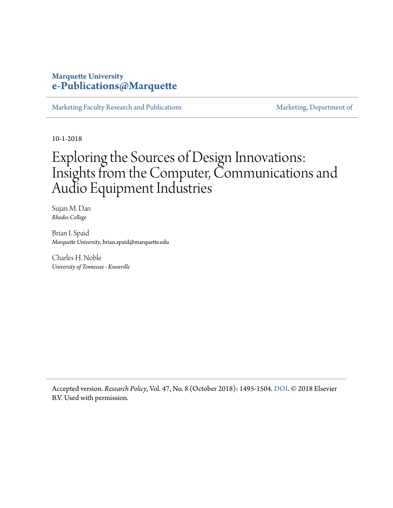## **Marquette University [e-Publications@Marquette](https://epublications.marquette.edu/)**

[Marketing Faculty Research and Publications](https://epublications.marquette.edu/market_fac) [Marketing, Department of](https://epublications.marquette.edu/market)

10-1-2018

# Exploring the Sources of Design Innovations: Insights from the Computer, Communications and Audio Equipment Industries

Sujan M. Dan *Rhodes College*

Brian I. Spaid *Marquette University*, brian.spaid@marquette.edu

Charles H. Noble *University of Tennessee - Knoxville*

Accepted version. *Research Policy*, Vol. 47, No. 8 (October 2018): 1495-1504. [DOI.](https://doi.org/10.1016/j.respol.2018.05.004) © 2018 Elsevier B.V. Used with permission.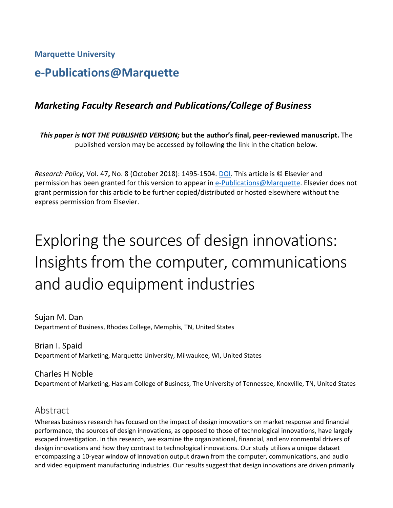**Marquette University**

# **e-Publications@Marquette**

# *Marketing Faculty Research and Publications/College of Business*

*This paper is NOT THE PUBLISHED VERSION;* **but the author's final, peer-reviewed manuscript.** The published version may be accessed by following the link in the citation below.

*Research Policy*, Vol. 47**,** No. 8 (October 2018): 1495-1504. DOI. This article is © Elsevier and permission has been granted for this version to appear in [e-Publications@Marquette.](http://epublications.marquette.edu/) Elsevier does not grant permission for this article to be further copied/distributed or hosted elsewhere without the express permission from Elsevier.

# Exploring the sources of design innovations: Insights from the computer, communications and audio equipment industries

Sujan M. Dan Department of Business, Rhodes College, Memphis, TN, United States

Brian I. Spaid Department of Marketing, Marquette University, Milwaukee, WI, United States

Charles H Noble Department of Marketing, Haslam College of Business, The University of Tennessee, Knoxville, TN, United States

# Abstract

Whereas business research has focused on the impact of design innovations on market response and financial performance, the sources of design innovations, as opposed to those of technological innovations, have largely escaped investigation. In this research, we examine the organizational, financial, and environmental drivers of design innovations and how they contrast to technological innovations. Our study utilizes a unique dataset encompassing a 10-year window of innovation output drawn from the computer, communications, and audio and video equipment manufacturing industries. Our results suggest that design innovations are driven primarily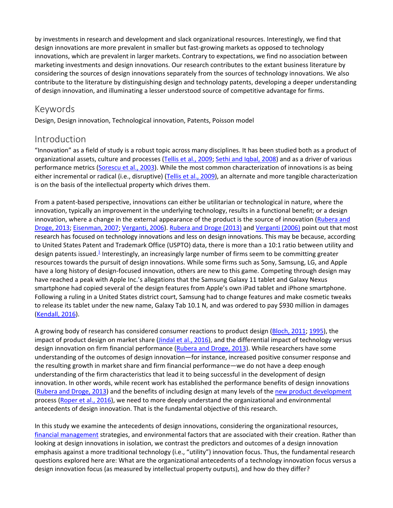by investments in research and development and slack organizational resources. Interestingly, we find that design innovations are more prevalent in smaller but fast-growing markets as opposed to technology innovations, which are prevalent in larger markets. Contrary to expectations, we find no association between marketing investments and design innovations. Our research contributes to the extant business literature by considering the sources of design innovations separately from the sources of technology innovations. We also contribute to the literature by distinguishing design and technology patents, developing a deeper understanding of design innovation, and illuminating a lesser understood source of competitive advantage for firms.

#### Keywords

Design, Design innovation, Technological innovation, Patents, Poisson model

### Introduction

"Innovation" as a field of study is a robust topic across many disciplines. It has been studied both as a product of organizational assets, culture and processes [\(Tellis et al., 2009;](https://www.sciencedirect.com/science/article/pii/S004873331830129X?via%3Dihub#bib0390) [Sethi and Iqbal, 2008\)](https://www.sciencedirect.com/science/article/pii/S004873331830129X?via%3Dihub#bib0330) and as a driver of various performance metrics [\(Sorescu et al., 2003\)](https://www.sciencedirect.com/science/article/pii/S004873331830129X?via%3Dihub#bib0360). While the most common characterization of innovations is as being either incremental or radical (i.e., disruptive) [\(Tellis et al., 2009\)](https://www.sciencedirect.com/science/article/pii/S004873331830129X?via%3Dihub#bib0390), an alternate and more tangible characterization is on the basis of the intellectual property which drives them.

From a patent-based perspective, innovations can either be utilitarian or technological in nature, where the innovation, typically an improvement in the underlying technology, results in a functional benefit; or a design innovation, where a change in the external appearance of the product is the source of innovation (Rubera and [Droge, 2013;](https://www.sciencedirect.com/science/article/pii/S004873331830129X?via%3Dihub#bib0320) [Eisenman, 2007;](https://www.sciencedirect.com/science/article/pii/S004873331830129X?via%3Dihub#bib0145) [Verganti, 2006\)](https://www.sciencedirect.com/science/article/pii/S004873331830129X?via%3Dihub#bib0410). [Rubera and Droge \(2013\)](https://www.sciencedirect.com/science/article/pii/S004873331830129X?via%3Dihub#bib0320) an[d Verganti \(2006\)](https://www.sciencedirect.com/science/article/pii/S004873331830129X?via%3Dihub#bib0410) point out that most research has focused on technology innovations and less on design innovations. This may be because, according to United States Patent and Trademark Office (USPTO) data, there is more than a 10:1 ratio between utility and design patents issued.<sup>1</sup> Interestingly, an increasingly large number of firms seem to be committing greater resources towards the pursuit of design innovations. While some firms such as Sony, Samsung, LG, and Apple have a long history of design-focused innovation, others are new to this game. Competing through design may have reached a peak with Apple Inc.'s allegations that the Samsung Galaxy 11 tablet and Galaxy Nexus smartphone had copied several of the design features from Apple's own iPad tablet and iPhone smartphone. Following a ruling in a United States district court, Samsung had to change features and make cosmetic tweaks to release its tablet under the new name, Galaxy Tab 10.1 N, and was ordered to pay \$930 million in damages [\(Kendall, 2016\)](https://www.sciencedirect.com/science/article/pii/S004873331830129X?via%3Dihub#bib0215).

A growing body of research has considered consumer reactions to product design [\(Bloch, 2011;](https://www.sciencedirect.com/science/article/pii/S004873331830129X?via%3Dihub#bib0055) [1995\)](https://www.sciencedirect.com/science/article/pii/S004873331830129X?via%3Dihub#bib0050), the impact of product design on market share [\(Jindal et al., 2016\)](https://www.sciencedirect.com/science/article/pii/S004873331830129X?via%3Dihub#bib0205), and the differential impact of technology versus design innovation on firm financial performance [\(Rubera and Droge, 2013\)](https://www.sciencedirect.com/science/article/pii/S004873331830129X?via%3Dihub#bib0320). While researchers have some understanding of the outcomes of design innovation—for instance, increased positive consumer response and the resulting growth in market share and firm financial performance—we do not have a deep enough understanding of the firm characteristics that lead it to being successful in the development of design innovation. In other words, while recent work has established the performance benefits of design innovations [\(Rubera and Droge, 2013\)](https://www.sciencedirect.com/science/article/pii/S004873331830129X?via%3Dihub#bib0320) and the benefits of including design at many levels of the [new product development](https://www.sciencedirect.com/topics/economics-econometrics-and-finance/new-product-development) process [\(Roper et al., 2016\)](https://www.sciencedirect.com/science/article/pii/S004873331830129X?via%3Dihub#bib0310), we need to more deeply understand the organizational and environmental antecedents of design innovation. That is the fundamental objective of this research.

In this study we examine the antecedents of design innovations, considering the organizational resources, [financial management](https://www.sciencedirect.com/topics/economics-econometrics-and-finance/managerial-finance) strategies, and environmental factors that are associated with their creation. Rather than looking at design innovations in isolation, we contrast the predictors and outcomes of a design innovation emphasis against a more traditional technology (i.e., "utility") innovation focus. Thus, the fundamental research questions explored here are: What are the organizational antecedents of a technology innovation focus versus a design innovation focus (as measured by intellectual property outputs), and how do they differ?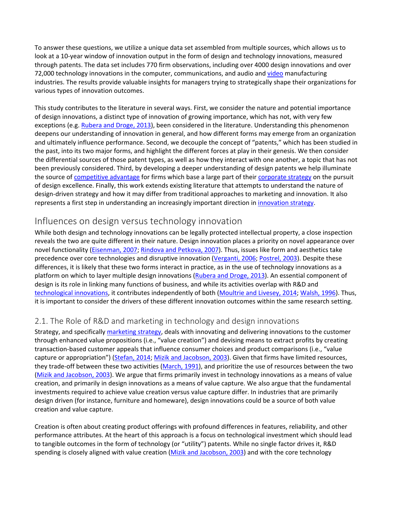To answer these questions, we utilize a unique data set assembled from multiple sources, which allows us to look at a 10-year window of innovation output in the form of design and technology innovations, measured through patents. The data set includes 770 firm observations, including over 4000 design innovations and over 72,000 technology innovations in the computer, communications, and audio and [video](https://www.sciencedirect.com/topics/economics-econometrics-and-finance/pre-recorded-media) manufacturing industries. The results provide valuable insights for managers trying to strategically shape their organizations for various types of innovation outcomes.

This study contributes to the literature in several ways. First, we consider the nature and potential importance of design innovations, a distinct type of innovation of growing importance, which has not, with very few exceptions (e.g. Rubera and [Droge, 2013\)](https://www.sciencedirect.com/science/article/pii/S004873331830129X?via%3Dihub#bib0320), been considered in the literature. Understanding this phenomenon deepens our understanding of innovation in general, and how different forms may emerge from an organization and ultimately influence performance. Second, we decouple the concept of "patents," which has been studied in the past, into its two major forms, and highlight the different forces at play in their genesis. We then consider the differential sources of those patent types, as well as how they interact with one another, a topic that has not been previously considered. Third, by developing a deeper understanding of design patents we help illuminate the source of [competitive advantage](https://www.sciencedirect.com/topics/economics-econometrics-and-finance/competitive-advantage) for firms which base a large part of their [corporate strategy](https://www.sciencedirect.com/topics/economics-econometrics-and-finance/strategic-management) on the pursuit of design excellence. Finally, this work extends existing literature that attempts to understand the nature of design-driven strategy and how it may differ from traditional approaches to marketing and innovation. It also represents a first step in understanding an increasingly important direction in [innovation strategy.](https://www.sciencedirect.com/topics/economics-econometrics-and-finance/innovation-management)

# Influences on design versus technology innovation

While both design and technology innovations can be legally protected intellectual property, a close inspection reveals the two are quite different in their nature. Design innovation places a priority on novel appearance over novel functionality [\(Eisenman, 2007;](https://www.sciencedirect.com/science/article/pii/S004873331830129X?via%3Dihub#bib0145) [Rindova and Petkova, 2007\)](https://www.sciencedirect.com/science/article/pii/S004873331830129X?via%3Dihub#bib0305). Thus, issues like form and aesthetics take precedence over core technologies and disruptive innovation [\(Verganti, 2006;](https://www.sciencedirect.com/science/article/pii/S004873331830129X?via%3Dihub#bib0410) [Postrel, 2003\)](https://www.sciencedirect.com/science/article/pii/S004873331830129X?via%3Dihub#bib0295). Despite these differences, it is likely that these two forms interact in practice, as in the use of technology innovations as a platform on which to layer multiple design innovations [\(Rubera and Droge, 2013\)](https://www.sciencedirect.com/science/article/pii/S004873331830129X?via%3Dihub#bib0320). An essential component of design is its role in linking many functions of business, and while its activities overlap with R&D and [technological innovations,](https://www.sciencedirect.com/topics/economics-econometrics-and-finance/technological-innovation) it contributes independently of both [\(Moultrie and Livesey, 2014;](https://www.sciencedirect.com/science/article/pii/S004873331830129X?via%3Dihub#bib0260) [Walsh, 1996\)](https://www.sciencedirect.com/science/article/pii/S004873331830129X?via%3Dihub#bib0425). Thus, it is important to consider the drivers of these different innovation outcomes within the same research setting.

#### 2.1. The Role of R&D and marketing in technology and design innovations

Strategy, and specificall[y marketing strategy,](https://www.sciencedirect.com/topics/economics-econometrics-and-finance/marketing-management) deals with innovating and delivering innovations to the customer through enhanced value propositions (i.e., "value creation") and devising means to extract profits by creating transaction-based customer appeals that influence consumer choices and product comparisons (i.e., "value capture or appropriation") [\(Stefan, 2014;](https://www.sciencedirect.com/science/article/pii/S004873331830129X?via%3Dihub#bib0375) [Mizik and Jacobson, 2003\)](https://www.sciencedirect.com/science/article/pii/S004873331830129X?via%3Dihub#bib0245). Given that firms have limited resources, they trade-off between these two activities [\(March, 1991\)](https://www.sciencedirect.com/science/article/pii/S004873331830129X?via%3Dihub#bib0235), and prioritize the use of resources between the two [\(Mizik and Jacobson, 2003\)](https://www.sciencedirect.com/science/article/pii/S004873331830129X?via%3Dihub#bib0245). We argue that firms primarily invest in technology innovations as a means of value creation, and primarily in design innovations as a means of value capture. We also argue that the fundamental investments required to achieve value creation versus value capture differ. In industries that are primarily design driven (for instance, furniture and homeware), design innovations could be a source of both value creation and value capture.

Creation is often about creating product offerings with profound differences in features, reliability, and other performance attributes. At the heart of this approach is a focus on technological investment which should lead to tangible outcomes in the form of technology (or "utility") patents. While no single factor drives it, R&D spending is closely aligned with value creation [\(Mizik and Jacobson, 2003\)](https://www.sciencedirect.com/science/article/pii/S004873331830129X?via%3Dihub#bib0245) and with the core technology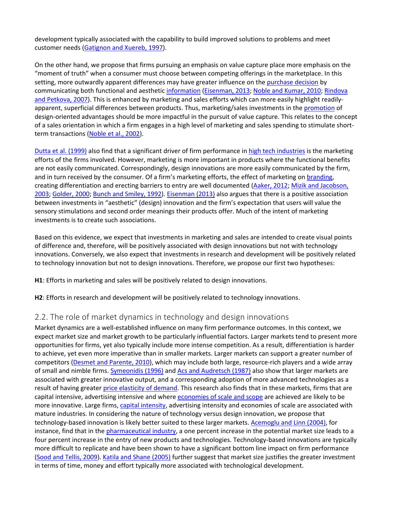development typically associated with the capability to build improved solutions to problems and meet customer needs [\(Gatignon and Xuereb, 1997\)](https://www.sciencedirect.com/science/article/pii/S004873331830129X?via%3Dihub#bib0165).

On the other hand, we propose that firms pursuing an emphasis on value capture place more emphasis on the "moment of truth" when a consumer must choose between competing offerings in the marketplace. In this setting, more outwardly apparent differences may have greater influence on the [purchase decision](https://www.sciencedirect.com/topics/economics-econometrics-and-finance/purchase-decision) by communicating both functional and aestheti[c information](https://www.sciencedirect.com/topics/economics-econometrics-and-finance/information) [\(Eisenman, 2013;](https://www.sciencedirect.com/science/article/pii/S004873331830129X?via%3Dihub#bib0150) [Noble and Kumar, 2010;](https://www.sciencedirect.com/science/article/pii/S004873331830129X?via%3Dihub#bib0270) [Rindova](https://www.sciencedirect.com/science/article/pii/S004873331830129X?via%3Dihub#bib0305)  [and Petkova, 2007\)](https://www.sciencedirect.com/science/article/pii/S004873331830129X?via%3Dihub#bib0305). This is enhanced by marketing and sales efforts which can more easily highlight readilyapparent, superficial differences between products. Thus, marketing/sales investments in the [promotion](https://www.sciencedirect.com/topics/economics-econometrics-and-finance/promotion) of design-oriented advantages should be more impactful in the pursuit of value capture. This relates to the concept of a sales orientation in which a firm engages in a high level of marketing and sales spending to stimulate short-term transactions [\(Noble et al., 2002\)](https://www.sciencedirect.com/science/article/pii/S004873331830129X?via%3Dihub#bib0275).

[Dutta et al. \(1999\)](https://www.sciencedirect.com/science/article/pii/S004873331830129X?via%3Dihub#bib0135) also find that a significant driver of firm performance i[n high tech industries](https://www.sciencedirect.com/topics/economics-econometrics-and-finance/high-technology) is the marketing efforts of the firms involved. However, marketing is more important in products where the functional benefits are not easily communicated. Correspondingly, design innovations are more easily communicated by the firm, and in turn received by the consumer. Of a firm's marketing efforts, the effect of marketing on [branding,](https://www.sciencedirect.com/topics/economics-econometrics-and-finance/brand-management) creating differentiation and erecting barriers to entry are well documented [\(Aaker, 2012;](https://www.sciencedirect.com/science/article/pii/S004873331830129X?via%3Dihub#bib0005) [Mizik and Jacobson,](https://www.sciencedirect.com/science/article/pii/S004873331830129X?via%3Dihub#bib0245)  [2003;](https://www.sciencedirect.com/science/article/pii/S004873331830129X?via%3Dihub#bib0245) [Golder, 2000;](https://www.sciencedirect.com/science/article/pii/S004873331830129X?via%3Dihub#bib0180) [Bunch and Smiley, 1992\)](https://www.sciencedirect.com/science/article/pii/S004873331830129X?via%3Dihub#bib0070). [Eisenman \(2013\)](https://www.sciencedirect.com/science/article/pii/S004873331830129X?via%3Dihub#bib0150) also argues that there is a positive association between investments in "aesthetic" (design) innovation and the firm's expectation that users will value the sensory stimulations and second order meanings their products offer. Much of the intent of marketing investments is to create such associations.

Based on this evidence, we expect that investments in marketing and sales are intended to create visual points of difference and, therefore, will be positively associated with design innovations but not with technology innovations. Conversely, we also expect that investments in research and development will be positively related to technology innovation but not to design innovations. Therefore, we propose our first two hypotheses:

**H1**: Efforts in marketing and sales will be positively related to design innovations.

**H2**: Efforts in research and development will be positively related to technology innovations.

#### 2.2. The role of market dynamics in technology and design innovations

Market dynamics are a well-established influence on many firm performance outcomes. In this context, we expect market size and market growth to be particularly influential factors. Larger markets tend to present more opportunities for firms, yet also typically include more intense competition. As a result, differentiation is harder to achieve, yet even more imperative than in smaller markets. Larger markets can support a greater number of competitors [\(Desmet and Parente, 2010\)](https://www.sciencedirect.com/science/article/pii/S004873331830129X?via%3Dihub#bib0115), which may include both large, resource-rich players and a wide array of small and nimble firms. [Symeonidis \(1996\)](https://www.sciencedirect.com/science/article/pii/S004873331830129X?via%3Dihub#bib0385) an[d Acs and Audretsch \(1987\)](https://www.sciencedirect.com/science/article/pii/S004873331830129X?via%3Dihub#bib0015) also show that larger markets are associated with greater innovative output, and a corresponding adoption of more advanced technologies as a result of having greater [price elasticity of demand.](https://www.sciencedirect.com/topics/economics-econometrics-and-finance/price-elasticity) This research also finds that in these markets, firms that are capital intensive, advertising intensive and where [economies of scale and scope](https://www.sciencedirect.com/topics/economics-econometrics-and-finance/economies-of-scope) are achieved are likely to be more innovative. Large firms, [capital intensity,](https://www.sciencedirect.com/topics/economics-econometrics-and-finance/capital-intensity) advertising intensity and economies of scale are associated with mature industries. In considering the nature of technology versus design innovation, we propose that technology-based innovation is likely better suited to these larger markets. [Acemoglu and Linn \(2004\),](https://www.sciencedirect.com/science/article/pii/S004873331830129X?via%3Dihub#bib0010) for instance, find that in th[e pharmaceutical industry,](https://www.sciencedirect.com/topics/economics-econometrics-and-finance/pharmaceutical-industry) a one percent increase in the potential market size leads to a four percent increase in the entry of new products and technologies. Technology-based innovations are typically more difficult to replicate and have been shown to have a significant bottom line impact on firm performance [\(Sood and Tellis, 2009\)](https://www.sciencedirect.com/science/article/pii/S004873331830129X?via%3Dihub#bib0350). [Katila and Shane \(2005\)](https://www.sciencedirect.com/science/article/pii/S004873331830129X?via%3Dihub#bib0210) further suggest that market size justifies the greater investment in terms of time, money and effort typically more associated with technological development.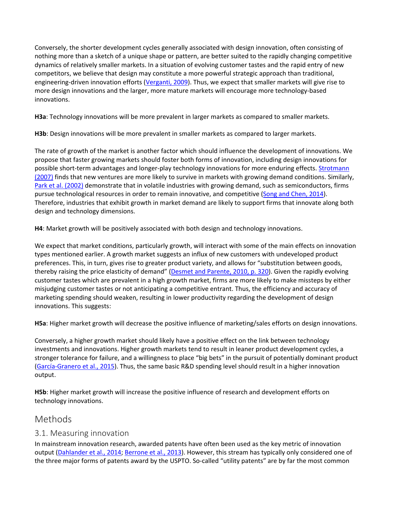Conversely, the shorter development cycles generally associated with design innovation, often consisting of nothing more than a sketch of a unique shape or pattern, are better suited to the rapidly changing competitive dynamics of relatively smaller markets. In a situation of evolving customer tastes and the rapid entry of new competitors, we believe that design may constitute a more powerful strategic approach than traditional, engineering-driven innovation efforts [\(Verganti, 2009\)](https://www.sciencedirect.com/science/article/pii/S004873331830129X?via%3Dihub#bib0415). Thus, we expect that smaller markets will give rise to more design innovations and the larger, more mature markets will encourage more technology-based innovations.

**H3a**: Technology innovations will be more prevalent in larger markets as compared to smaller markets.

**H3b**: Design innovations will be more prevalent in smaller markets as compared to larger markets.

The rate of growth of the market is another factor which should influence the development of innovations. We propose that faster growing markets should foster both forms of innovation, including design innovations for possible short-term advantages and longer-play technology innovations for more enduring effects. Strotmann [\(2007\)](https://www.sciencedirect.com/science/article/pii/S004873331830129X?via%3Dihub#bib0380) finds that new ventures are more likely to survive in markets with growing demand conditions. Similarly, [Park et al. \(2002\)](https://www.sciencedirect.com/science/article/pii/S004873331830129X?via%3Dihub#bib0285) demonstrate that in volatile industries with growing demand, such as semiconductors, firms pursue technological resources in order to remain innovative, and competitive [\(Song and Chen, 2014\)](https://www.sciencedirect.com/science/article/pii/S004873331830129X?via%3Dihub#bib0345). Therefore, industries that exhibit growth in market demand are likely to support firms that innovate along both design and technology dimensions.

**H4**: Market growth will be positively associated with both design and technology innovations.

We expect that market conditions, particularly growth, will interact with some of the main effects on innovation types mentioned earlier. A growth market suggests an influx of new customers with undeveloped product preferences. This, in turn, gives rise to greater product variety, and allows for "substitution between goods, thereby raising the price elasticity of demand" [\(Desmet and Parente, 2010, p. 320\)](https://www.sciencedirect.com/science/article/pii/S004873331830129X?via%3Dihub#bib0115). Given the rapidly evolving customer tastes which are prevalent in a high growth market, firms are more likely to make missteps by either misjudging customer tastes or not anticipating a competitive entrant. Thus, the efficiency and accuracy of marketing spending should weaken, resulting in lower productivity regarding the development of design innovations. This suggests:

**H5a**: Higher market growth will decrease the positive influence of marketing/sales efforts on design innovations.

Conversely, a higher growth market should likely have a positive effect on the link between technology investments and innovations. Higher growth markets tend to result in leaner product development cycles, a stronger tolerance for failure, and a willingness to place "big bets" in the pursuit of potentially dominant product [\(García-Granero et al., 2015\)](https://www.sciencedirect.com/science/article/pii/S004873331830129X?via%3Dihub#bib0160). Thus, the same basic R&D spending level should result in a higher innovation output.

**H5b**: Higher market growth will increase the positive influence of research and development efforts on technology innovations.

#### Methods

#### 3.1. Measuring innovation

In mainstream innovation research, awarded patents have often been used as the key metric of innovation output [\(Dahlander et al., 2014;](https://www.sciencedirect.com/science/article/pii/S004873331830129X?via%3Dihub#bib0100) [Berrone et al., 2013\)](https://www.sciencedirect.com/science/article/pii/S004873331830129X?via%3Dihub#bib0040). However, this stream has typically only considered one of the three major forms of patents award by the USPTO. So-called "utility patents" are by far the most common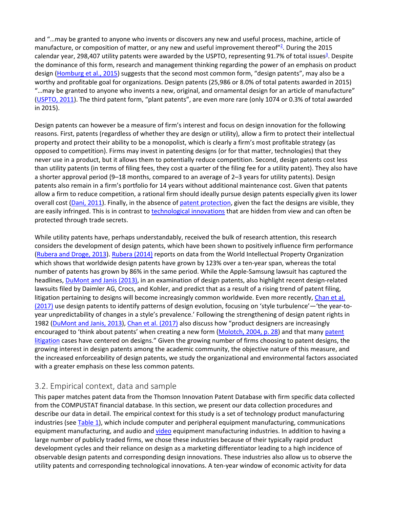and "…may be granted to anyone who invents or discovers any new and useful process, machine, article of manufacture, or composition of matter, or any new and useful improvement thereof"<sup>2</sup>. During the 2015 calendar year, 298,407 utility patents were awarded by the USPTO, representing 91.7% of total issues<sup>3</sup>. Despite the dominance of this form, research and management thinking regarding the power of an emphasis on product design [\(Homburg et al., 2015\)](https://www.sciencedirect.com/science/article/pii/S004873331830129X?via%3Dihub#bib0185) suggests that the second most common form, "design patents", may also be a worthy and profitable goal for organizations. Design patents (25,986 or 8.0% of total patents awarded in 2015) "…may be granted to anyone who invents a new, original, and ornamental design for an article of manufacture" [\(USPTO, 2011\)](https://www.sciencedirect.com/science/article/pii/S004873331830129X?via%3Dihub#bib0405). The third patent form, "plant patents", are even more rare (only 1074 or 0.3% of total awarded in 2015).

Design patents can however be a measure of firm's interest and focus on design innovation for the following reasons. First, patents (regardless of whether they are design or utility), allow a firm to protect their intellectual property and protect their ability to be a monopolist, which is clearly a firm's most profitable strategy (as opposed to competition). Firms may invest in patenting designs (or for that matter, technologies) that they never use in a product, but it allows them to potentially reduce competition. Second, design patents cost less than utility patents (in terms of filing fees, they cost a quarter of the filing fee for a utility patent). They also have a shorter approval period (9–18 months, compared to an average of 2–3 years for utility patents). Design patents also remain in a firm's portfolio for 14 years without additional maintenance cost. Given that patents allow a firm to reduce competition, a rational firm should ideally pursue design patents especially given its lower overall cost [\(Dani, 2011\)](https://www.sciencedirect.com/science/article/pii/S004873331830129X?via%3Dihub#bib0105). Finally, in the absence of [patent protection,](https://www.sciencedirect.com/topics/economics-econometrics-and-finance/patent-law) given the fact the designs are visible, they are easily infringed. This is in contrast to [technological innovations](https://www.sciencedirect.com/topics/economics-econometrics-and-finance/technological-innovation) that are hidden from view and can often be protected through trade secrets.

While utility patents have, perhaps understandably, received the bulk of research attention, this research considers the development of design patents, which have been shown to positively influence firm performance [\(Rubera and Droge, 2013\)](https://www.sciencedirect.com/science/article/pii/S004873331830129X?via%3Dihub#bib0320). [Rubera \(2014\)](https://www.sciencedirect.com/science/article/pii/S004873331830129X?via%3Dihub#bib0315) reports on data from the World Intellectual Property Organization which shows that worldwide design patents have grown by 123% over a ten-year span, whereas the total number of patents has grown by 86% in the same period. While the Apple-Samsung lawsuit has captured the headlines, [DuMont and Janis \(2013\),](https://www.sciencedirect.com/science/article/pii/S004873331830129X?via%3Dihub#bib0125) in an examination of design patents, also highlight recent design-related lawsuits filed by Daimler AG, Crocs, and Kohler, and predict that as a result of a rising trend of patent filing, litigation pertaining to designs will become increasingly common worldwide. Even more recently[, Chan et al.](https://www.sciencedirect.com/science/article/pii/S004873331830129X?via%3Dihub#bib0080)  [\(2017\)](https://www.sciencedirect.com/science/article/pii/S004873331830129X?via%3Dihub#bib0080) use design patents to identify patterns of design evolution, focusing on 'style turbulence'—'the year-toyear unpredictability of changes in a style's prevalence.' Following the strengthening of design patent rights in 1982 [\(DuMont and Janis, 2013\)](https://www.sciencedirect.com/science/article/pii/S004873331830129X?via%3Dihub#bib0125)[, Chan et al. \(2017\)](https://www.sciencedirect.com/science/article/pii/S004873331830129X?via%3Dihub#bib0080) also discuss how "product designers are increasingly encouraged to 'think about patents' when creating a new form [\(Molotch, 2004, p. 28\)](https://www.sciencedirect.com/science/article/pii/S004873331830129X?via%3Dihub#bib0250) and that man[y patent](https://www.sciencedirect.com/topics/economics-econometrics-and-finance/patent-litigation)  [litigation](https://www.sciencedirect.com/topics/economics-econometrics-and-finance/patent-litigation) cases have centered on designs." Given the growing number of firms choosing to patent designs, the growing interest in design patents among the academic community, the objective nature of this measure, and the increased enforceability of design patents, we study the organizational and environmental factors associated with a greater emphasis on these less common patents.

#### 3.2. Empirical context, data and sample

This paper matches patent data from the Thomson Innovation Patent Database with firm specific data collected from the COMPUSTAT financial database. In this section, we present our data collection procedures and describe our data in detail. The empirical context for this study is a set of technology product manufacturing industries (se[e Table 1\)](https://www.sciencedirect.com/science/article/pii/S004873331830129X?via%3Dihub#tbl0005), which include computer and peripheral equipment manufacturing, communications equipment manufacturing, and audio an[d video](https://www.sciencedirect.com/topics/economics-econometrics-and-finance/pre-recorded-media) equipment manufacturing industries. In addition to having a large number of publicly traded firms, we chose these industries because of their typically rapid product development cycles and their reliance on design as a marketing differentiator leading to a high incidence of observable design patents and corresponding design innovations. These industries also allow us to observe the utility patents and corresponding technological innovations. A ten-year window of economic activity for data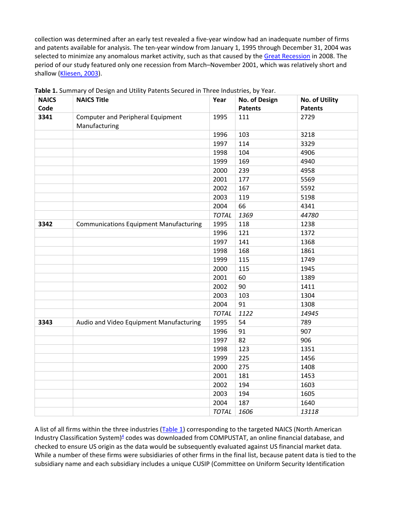collection was determined after an early test revealed a five-year window had an inadequate number of firms and patents available for analysis. The ten-year window from January 1, 1995 through December 31, 2004 was selected to minimize any anomalous market activity, such as that caused by the [Great Recession](https://www.sciencedirect.com/topics/economics-econometrics-and-finance/global-economic-crisis) in 2008. The period of our study featured only one recession from March–November 2001, which was relatively short and shallow [\(Kliesen, 2003\)](https://www.sciencedirect.com/science/article/pii/S004873331830129X?via%3Dihub#bib0220).

| <b>NAICS</b> | <b>NAICS Title</b>                                        | Year         | No. of Design  | No. of Utility |
|--------------|-----------------------------------------------------------|--------------|----------------|----------------|
| Code         |                                                           |              | <b>Patents</b> | <b>Patents</b> |
| 3341         | <b>Computer and Peripheral Equipment</b><br>Manufacturing | 1995         | 111            | 2729           |
|              |                                                           | 1996         | 103            | 3218           |
|              |                                                           | 1997         | 114            | 3329           |
|              |                                                           | 1998         | 104            | 4906           |
|              |                                                           | 1999         | 169            | 4940           |
|              |                                                           | 2000         | 239            | 4958           |
|              |                                                           | 2001         | 177            | 5569           |
|              |                                                           | 2002         | 167            | 5592           |
|              |                                                           | 2003         | 119            | 5198           |
|              |                                                           | 2004         | 66             | 4341           |
|              |                                                           | <b>TOTAL</b> | 1369           | 44780          |
| 3342         | <b>Communications Equipment Manufacturing</b>             | 1995         | 118            | 1238           |
|              |                                                           | 1996         | 121            | 1372           |
|              |                                                           | 1997         | 141            | 1368           |
|              |                                                           | 1998         | 168            | 1861           |
|              |                                                           | 1999         | 115            | 1749           |
|              |                                                           | 2000         | 115            | 1945           |
|              |                                                           | 2001         | 60             | 1389           |
|              |                                                           | 2002         | 90             | 1411           |
|              |                                                           | 2003         | 103            | 1304           |
|              |                                                           | 2004         | 91             | 1308           |
|              |                                                           | <b>TOTAL</b> | 1122           | 14945          |
| 3343         | Audio and Video Equipment Manufacturing                   | 1995         | 54             | 789            |
|              |                                                           | 1996         | 91             | 907            |
|              |                                                           | 1997         | 82             | 906            |
|              |                                                           | 1998         | 123            | 1351           |
|              |                                                           | 1999         | 225            | 1456           |
|              |                                                           | 2000         | 275            | 1408           |
|              |                                                           | 2001         | 181            | 1453           |
|              |                                                           | 2002         | 194            | 1603           |
|              |                                                           | 2003         | 194            | 1605           |
|              |                                                           | 2004         | 187            | 1640           |
|              |                                                           | <b>TOTAL</b> | 1606           | 13118          |

| Table 1. Summary of Design and Utility Patents Secured in Three Industries, by Year. |  |
|--------------------------------------------------------------------------------------|--|
|--------------------------------------------------------------------------------------|--|

A list of all firms within the three industries [\(Table 1\)](https://www.sciencedirect.com/science/article/pii/S004873331830129X?via%3Dihub#tbl0005) corresponding to the targeted NAICS (North American Industry Classification System) codes was downloaded from COMPUSTAT, an online financial database, and checked to ensure US origin as the data would be subsequently evaluated against US financial market data. While a number of these firms were subsidiaries of other firms in the final list, because patent data is tied to the subsidiary name and each subsidiary includes a unique CUSIP (Committee on Uniform Security Identification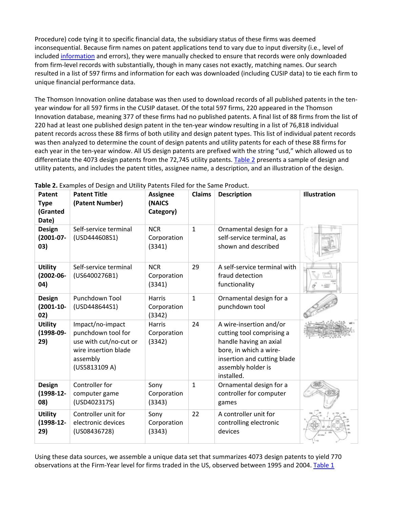Procedure) code tying it to specific financial data, the subsidiary status of these firms was deemed inconsequential. Because firm names on patent applications tend to vary due to input diversity (i.e., level of included [information](https://www.sciencedirect.com/topics/economics-econometrics-and-finance/information) and errors), they were manually checked to ensure that records were only downloaded from firm-level records with substantially, though in many cases not exactly, matching names. Our search resulted in a list of 597 firms and information for each was downloaded (including CUSIP data) to tie each firm to unique financial performance data.

The Thomson Innovation online database was then used to download records of all published patents in the tenyear window for all 597 firms in the CUSIP dataset. Of the total 597 firms, 220 appeared in the Thomson Innovation database, meaning 377 of these firms had no published patents. A final list of 88 firms from the list of 220 had at least one published design patent in the ten-year window resulting in a list of 76,818 individual patent records across these 88 firms of both utility and design patent types. This list of individual patent records was then analyzed to determine the count of design patents and utility patents for each of these 88 firms for each year in the ten-year window. All US design patents are prefixed with the string "usd," which allowed us to differentiate the 4073 design patents from the 72,745 utility patents. [Table 2](https://www.sciencedirect.com/science/article/pii/S004873331830129X?via%3Dihub#tbl0010) presents a sample of design and utility patents, and includes the patent titles, assignee name, a description, and an illustration of the design.

| Patent<br><b>Type</b><br>(Granted<br>Date) | <b>Patent Title</b><br>(Patent Number)                                                                                | <b>Assignee</b><br>(NAICS<br>Category) | <b>Claims</b> | <b>Description</b>                                                                                                                                                          | Illustration |
|--------------------------------------------|-----------------------------------------------------------------------------------------------------------------------|----------------------------------------|---------------|-----------------------------------------------------------------------------------------------------------------------------------------------------------------------------|--------------|
| Design<br>$(2001 - 07 -$<br>03)            | Self-service terminal<br>(USD444608S1)                                                                                | <b>NCR</b><br>Corporation<br>(3341)    | $\mathbf{1}$  | Ornamental design for a<br>self-service terminal, as<br>shown and described                                                                                                 |              |
| <b>Utility</b><br>(2002-06-<br>04)         | Self-service terminal<br>(US6400276B1)                                                                                | <b>NCR</b><br>Corporation<br>(3341)    | 29            | A self-service terminal with<br>fraud detection<br>functionality                                                                                                            |              |
| Design<br>$(2001 - 10 -$<br>02)            | Punchdown Tool<br>(USD448644S1)                                                                                       | Harris<br>Corporation<br>(3342)        | $\mathbf{1}$  | Ornamental design for a<br>punchdown tool                                                                                                                                   |              |
| <b>Utility</b><br>(1998-09-<br>29)         | Impact/no-impact<br>punchdown tool for<br>use with cut/no-cut or<br>wire insertion blade<br>assembly<br>(US5813109 A) | <b>Harris</b><br>Corporation<br>(3342) | 24            | A wire-insertion and/or<br>cutting tool comprising a<br>handle having an axial<br>bore, in which a wire-<br>insertion and cutting blade<br>assembly holder is<br>installed. |              |
| <b>Design</b><br>$(1998-12-$<br>08)        | Controller for<br>computer game<br>(USD402317S)                                                                       | Sony<br>Corporation<br>(3343)          | $\mathbf{1}$  | Ornamental design for a<br>controller for computer<br>games                                                                                                                 |              |
| <b>Utility</b><br>$(1998-12-$<br>29)       | Controller unit for<br>electronic devices<br>(US08436728)                                                             | Sony<br>Corporation<br>(3343)          | 22            | A controller unit for<br>controlling electronic<br>devices                                                                                                                  |              |

**Table 2.** Examples of Design and Utility Patents Filed for the Same Product.

Using these data sources, we assemble a unique data set that summarizes 4073 design patents to yield 770 observations at the Firm-Year level for firms traded in the US, observed between 1995 and 2004. [Table 1](https://www.sciencedirect.com/science/article/pii/S004873331830129X?via%3Dihub#tbl0005)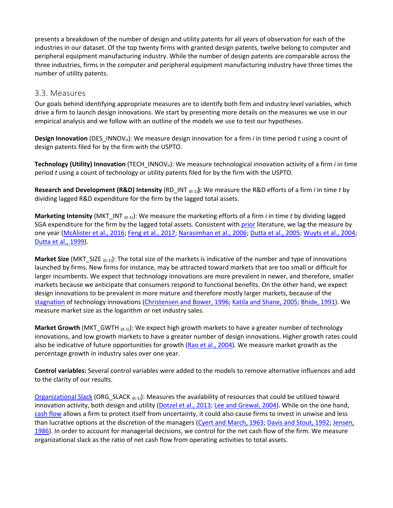presents a breakdown of the number of design and utility patents for all years of observation for each of the industries in our dataset. Of the top twenty firms with granted design patents, twelve belong to computer and peripheral equipment manufacturing industry. While the number of design patents are comparable across the three industries, firms in the computer and peripheral equipment manufacturing industry have three times the number of utility patents.

#### 3.3. Measures

Our goals behind identifying appropriate measures are to identify both firm and industry level variables, which drive a firm to launch design innovations. We start by presenting more details on the measures we use in our empirical analysis and we follow with an outline of the models we use to test our hypotheses.

**Design Innovation** (DES INNOV<sub>it</sub>): We measure design innovation for a firm *i* in time period *t* using a count of design patents filed for by the firm with the USPTO.

**Technology (Utility) Innovation** (TECH\_INNOV<sub>it</sub>): We measure technological innovation activity of a firm *i* in time period *t* using a count of technology or utility patents filed for by the firm with the USPTO.

**Research and Development (R&D) Intensity** (RD\_INT i(t-1)**):** We measure the R&D efforts of a firm *i* in time *t* by dividing lagged R&D expenditure for the firm by the lagged total assets.

**Marketing Intensity** (MKT\_INT i(t-1)): We measure the marketing efforts of a firm *i* in time *t* by dividing lagged SGA expenditure for the firm by the lagged total assets. Consistent with [prior](https://www.sciencedirect.com/topics/economics-econometrics-and-finance/bayesian-inference) literature, we lag the measure by one year [\(McAlister et al., 2016;](https://www.sciencedirect.com/science/article/pii/S004873331830129X?via%3Dihub#bib0240) [Feng et al., 2017;](https://www.sciencedirect.com/science/article/pii/S004873331830129X?via%3Dihub#bib0155) [Narasimhan et al., 2006;](https://www.sciencedirect.com/science/article/pii/S004873331830129X?via%3Dihub#bib0265) [Dutta et al., 2005;](https://www.sciencedirect.com/science/article/pii/S004873331830129X?via%3Dihub#bib0130) [Wuyts et al., 2004;](https://www.sciencedirect.com/science/article/pii/S004873331830129X?via%3Dihub#bib0430) [Dutta et al., 1999\)](https://www.sciencedirect.com/science/article/pii/S004873331830129X?via%3Dihub#bib0135).

**Market Size** (MKT\_SIZE <sub>i(t-1)</sub>): The total size of the markets is indicative of the number and type of innovations launched by firms. New firms for instance, may be attracted toward markets that are too small or difficult for larger incumbents. We expect that technology innovations are more prevalent in newer, and therefore, smaller markets because we anticipate that consumers respond to functional benefits. On the other hand, we expect design innovations to be prevalent in more mature and therefore mostly larger markets, because of the [stagnation](https://www.sciencedirect.com/topics/economics-econometrics-and-finance/stagnation) of technology innovations [\(Christensen and Bower, 1996;](https://www.sciencedirect.com/science/article/pii/S004873331830129X?via%3Dihub#bib0090) [Katila and Shane, 2005;](https://www.sciencedirect.com/science/article/pii/S004873331830129X?via%3Dihub#bib0210) [Bhide, 1991\)](https://www.sciencedirect.com/science/article/pii/S004873331830129X?via%3Dihub#bib0045). We measure market size as the logarithm or net industry sales.

**Market Growth** (MKT\_GWTH i(t-1)): We expect high growth markets to have a greater number of technology innovations, and low growth markets to have a greater number of design innovations. Higher growth rates could also be indicative of future opportunities for growth [\(Rao et al., 2004\)](https://www.sciencedirect.com/science/article/pii/S004873331830129X?via%3Dihub#bib0300). We measure market growth as the percentage growth in industry sales over one year.

**Control variables:** Several control variables were added to the models to remove alternative influences and add to the clarity of our results.

[Organizational Slack](https://www.sciencedirect.com/topics/economics-econometrics-and-finance/capacity-utilization) (ORG\_SLACK <sub>i(t-1</sub>)): Measures the availability of resources that could be utilized toward innovation activity, both design and utility [\(Dotzel et al., 2013;](https://www.sciencedirect.com/science/article/pii/S004873331830129X?via%3Dihub#bib0120) [Lee and Grewal, 2004\)](https://www.sciencedirect.com/science/article/pii/S004873331830129X?via%3Dihub#bib0225). While on the one hand, [cash flow](https://www.sciencedirect.com/topics/economics-econometrics-and-finance/cash-flow) allows a firm to protect itself from uncertainty, it could also cause firms to invest in unwise and less than lucrative options at the discretion of the managers [\(Cyert and March, 1963;](https://www.sciencedirect.com/science/article/pii/S004873331830129X?via%3Dihub#bib0095) [Davis and Stout, 1992;](https://www.sciencedirect.com/science/article/pii/S004873331830129X?via%3Dihub#bib0110) [Jensen,](https://www.sciencedirect.com/science/article/pii/S004873331830129X?via%3Dihub#bib0200)  [1986\)](https://www.sciencedirect.com/science/article/pii/S004873331830129X?via%3Dihub#bib0200). In order to account for managerial decisions, we control for the net cash flow of the firm. We measure organizational slack as the ratio of net cash flow from operating activities to total assets.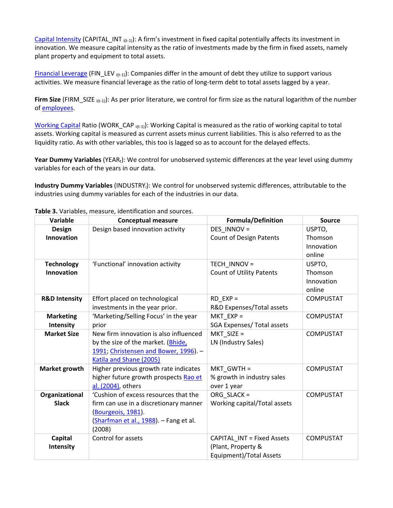[Capital Intensity](https://www.sciencedirect.com/topics/economics-econometrics-and-finance/capital-intensity) (CAPITAL\_INT  $_{i(t-1)}$ ): A firm's investment in fixed capital potentially affects its investment in innovation. We measure capital intensity as the ratio of investments made by the firm in fixed assets, namely plant property and equipment to total assets.

[Financial Leverage](https://www.sciencedirect.com/topics/economics-econometrics-and-finance/capital-structure) (FIN\_LEV <sub>i(t-1)</sub>): Companies differ in the amount of debt they utilize to support various activities. We measure financial leverage as the ratio of long-term debt to total assets lagged by a year.

**Firm Size** (FIRM SIZE i(t-1)): As per prior literature, we control for firm size as the natural logarithm of the number o[f employees.](https://www.sciencedirect.com/topics/economics-econometrics-and-finance/workforce)

[Working Capital](https://www.sciencedirect.com/topics/economics-econometrics-and-finance/working-capital) Ratio (WORK\_CAP i(t-1)): Working Capital is measured as the ratio of working capital to total assets. Working capital is measured as current assets minus current liabilities. This is also referred to as the liquidity ratio. As with other variables, this too is lagged so as to account for the delayed effects.

Year Dummy Variables (YEARt): We control for unobserved systemic differences at the year level using dummy variables for each of the years in our data.

**Industry Dummy Variables** (INDUSTRYi): We control for unobserved systemic differences, attributable to the industries using dummy variables for each of the industries in our data.

| Variable                               | <b>Conceptual measure</b>                                                                                                                                 | <b>Formula/Definition</b>                                                          | <b>Source</b>                             |
|----------------------------------------|-----------------------------------------------------------------------------------------------------------------------------------------------------------|------------------------------------------------------------------------------------|-------------------------------------------|
| <b>Design</b><br><b>Innovation</b>     | Design based innovation activity                                                                                                                          | DES INNOV =<br><b>Count of Design Patents</b>                                      | USPTO,<br>Thomson<br>Innovation<br>online |
| <b>Technology</b><br><b>Innovation</b> | 'Functional' innovation activity                                                                                                                          | TECH INNOV =<br><b>Count of Utility Patents</b>                                    | USPTO,<br>Thomson<br>Innovation<br>online |
| <b>R&amp;D Intensity</b>               | Effort placed on technological<br>investments in the year prior.                                                                                          | $RD$ $EXP =$<br>R&D Expenses/Total assets                                          | <b>COMPUSTAT</b>                          |
| <b>Marketing</b><br>Intensity          | 'Marketing/Selling Focus' in the year<br>prior                                                                                                            | $MKT$ $EXP =$<br><b>SGA Expenses/ Total assets</b>                                 | <b>COMPUSTAT</b>                          |
| <b>Market Size</b>                     | New firm innovation is also influenced<br>by the size of the market. (Bhide,<br>1991; Christensen and Bower, 1996). -<br>Katila and Shane (2005)          | $MKT$ SIZE =<br>LN (Industry Sales)                                                | <b>COMPUSTAT</b>                          |
| Market growth                          | Higher previous growth rate indicates<br>higher future growth prospects Rao et<br>al. (2004), others                                                      | MKT GWTH =<br>% growth in industry sales<br>over 1 year                            | <b>COMPUSTAT</b>                          |
| Organizational<br><b>Slack</b>         | 'Cushion of excess resources that the<br>firm can use in a discretionary manner<br>(Bourgeois, 1981).<br>(Sharfman et al., 1988). - Fang et al.<br>(2008) | ORG SLACK =<br>Working capital/Total assets                                        | <b>COMPUSTAT</b>                          |
| Capital<br>Intensity                   | Control for assets                                                                                                                                        | <b>CAPITAL INT = Fixed Assets</b><br>(Plant, Property &<br>Equipment)/Total Assets | <b>COMPUSTAT</b>                          |

**Table 3.** Variables, measure, identification and sources.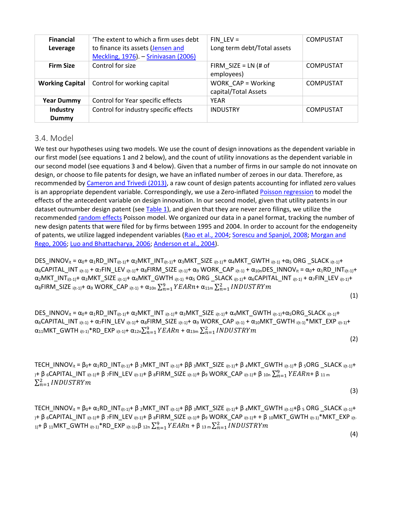| <b>Financial</b><br>Leverage | The extent to which a firm uses debt<br>to finance its assets (Jensen and<br>Meckling, 1976). - Srinivasan (2006) | $FIN$ LEV =<br>Long term debt/Total assets | <b>COMPUSTAT</b> |
|------------------------------|-------------------------------------------------------------------------------------------------------------------|--------------------------------------------|------------------|
| <b>Firm Size</b>             | Control for size                                                                                                  | FIRM SIZE = $LN$ (# of<br>employees)       | <b>COMPUSTAT</b> |
| <b>Working Capital</b>       | Control for working capital                                                                                       | WORK CAP = Working<br>capital/Total Assets | <b>COMPUSTAT</b> |
| <b>Year Dummy</b>            | Control for Year specific effects                                                                                 | <b>YEAR</b>                                |                  |
| Industry<br>Dummy            | Control for industry specific effects                                                                             | <b>INDUSTRY</b>                            | <b>COMPUSTAT</b> |

#### 3.4. Model

We test our hypotheses using two models. We use the count of design innovations as the dependent variable in our first model (see equations 1 and 2 below), and the count of utility innovations as the dependent variable in our second model (see equations 3 and 4 below). Given that a number of firms in our sample do not innovate on design, or choose to file patents for design, we have an inflated number of zeroes in our data. Therefore, as recommended by [Cameron and Trivedi \(2013\),](https://www.sciencedirect.com/science/article/pii/S004873331830129X?via%3Dihub#bib0075) a raw count of design patents accounting for inflated zero values is an appropriate dependent variable. Correspondingly, we use a Zero-inflated [Poisson regression](https://www.sciencedirect.com/topics/economics-econometrics-and-finance/generalized-linear-model) to model the effects of the antecedent variable on design innovation. In our second model, given that utility patents in our dataset outnumber design patent (see [Table 1\)](https://www.sciencedirect.com/science/article/pii/S004873331830129X?via%3Dihub#tbl0005), and given that they are never zero filings, we utilize the recommended [random effects](https://www.sciencedirect.com/topics/economics-econometrics-and-finance/multi-level-analysis) Poisson model. We organized our data in a panel format, tracking the number of new design patents that were filed for by firms between 1995 and 2004. In order to account for the endogeneity of patents, we utilize lagged independent variables [\(Rao et al., 2004;](https://www.sciencedirect.com/science/article/pii/S004873331830129X?via%3Dihub#bib0300) [Sorescu and Spanjol, 2008;](https://www.sciencedirect.com/science/article/pii/S004873331830129X?via%3Dihub#bib0355) [Morgan and](https://www.sciencedirect.com/science/article/pii/S004873331830129X?via%3Dihub#bib0255)  [Rego, 2006;](https://www.sciencedirect.com/science/article/pii/S004873331830129X?via%3Dihub#bib0255) [Luo and Bhattacharya, 2006;](https://www.sciencedirect.com/science/article/pii/S004873331830129X?via%3Dihub#bib0230) [Anderson et al., 2004\)](https://www.sciencedirect.com/science/article/pii/S004873331830129X?via%3Dihub#bib0030).

DES\_INNOV<sub>it</sub> =  $\alpha_0$ +  $\alpha_1$ RD\_INT<sub>i(t-1)</sub>+  $\alpha_2$ MKT\_INT<sub>i(t-1)</sub>+  $\alpha_3$ MKT\_SIZE <sub>i(t-1)</sub>+  $\alpha_4$ MKT\_GWTH <sub>i(t-1)</sub> +  $\alpha_5$  ORG \_SLACK <sub>i(t-1)</sub>+  $\alpha_6$ CAPITAL\_INT i(t-1) +  $\alpha_7$ FIN\_LEV i(t-1)+  $\alpha_8$ FIRM\_SIZE i(t-1)+  $\alpha_9$  WORK\_CAP i(t-1) +  $\alpha_{10n}$ DES\_INNOVit =  $\alpha_0$ +  $\alpha_1$ RD\_INT<sub>i</sub>(t-1)+  $\alpha_2$ MKT\_INT<sub>i(t-1)</sub>+  $\alpha_3$ MKT\_SIZE <sub>i(t-1)</sub>+  $\alpha_4$ MKT\_GWTH <sub>i(t-1)</sub> + $\alpha_5$  ORG \_SLACK <sub>i(t-1)</sub>+  $\alpha_6$ CAPITAL\_INT <sub>i(t-1)</sub> +  $\alpha_7$ FIN\_LEV <sub>i(t-1)</sub>+  $\alpha_8$ FIRM\_SIZE <sub>i(t-1)</sub>+  $\alpha_9$  WORK\_CAP <sub>i(t-1)</sub> +  $\alpha_{10n} \sum_{n=1}^{9} YEARN+\alpha_{11m} \sum_{n=1}^{2} INDUSTRYm$ 

$$
^{(1)}
$$

DES\_INNOV<sub>it</sub> =  $\alpha_0$ +  $\alpha_1$ RD\_INT<sub>i(t-1</sub>)+  $\alpha_2$ MKT\_INT <sub>i(t-1</sub>)+  $\alpha_3$ MKT\_SIZE <sub>i(t-1</sub>)+  $\alpha_4$ MKT\_GWTH <sub>i(t-1</sub>)+ $\alpha_5$ ORG\_SLACK <sub>i(t-1)</sub>+  $\alpha_6$ CAPITAL\_INT  $_{i(t-1)}$  + α<sub>7</sub>FIN\_LEV  $_{i(t-1)}$ + α<sub>8</sub>FIRM\_SIZE  $_{i(t-1)}$ + α<sub>9</sub> WORK\_CAP  $_{i(t-1)}$  + α<sub>10</sub>MKT\_GWTH  $_{i(t-1)}$ \*MKT\_EXP  $_{i(t-1)}$ +  $\alpha_{11}$ MKT\_GWTH <sub>i(t-1)</sub>\*RD\_EXP <sub>i(t-1)</sub>+  $\alpha_{12n}\sum_{n=1}^{9}YEARN$  +  $\alpha_{13m}\sum_{n=1}^{2}INDUSTRYm$ 

(2)

TECH\_INNOV<sub>it</sub> =  $β_0 + α_1RD$ \_INT<sub>i(t-1)</sub>+  $β_2MKT$ \_INT <sub>i(t-1)</sub>+  $ββ_3MKT$ \_SIZE<sub>i(t-1)</sub>+  $β_4MKT$ \_GWTH <sub>i(t-1)</sub>+  $β_5ORG$ \_SLACK <sub>i(t-1)</sub>+ )+  $\beta$  <sub>6</sub>CAPITAL\_INT  $_{i(t\text{-}1)}$ + β 7FIN\_LEV  $_{i(t\text{-}1)}$ + β  $_8$ FIRM\_SIZE  $_{i(t\text{-}1)}$ + β $_9$  WORK\_CAP  $_{i(t\text{-}1)}$ + β  $_{10n}\sum_{n=1}^{9}YEARn$ + β  $_{11}$  m  $\sum_{n=1}^2$ INDUSTRY $m$ 

(3)

TECH\_INNOV<sub>it</sub> =  $β_0 + α_1RD$ \_INT<sub>i(t-1)</sub>+  $β_2MKT$ \_INT <sub>i(t-1)</sub>+  $ββ_3MKT$ \_SIZE <sub>i(t-1)</sub>+  $β_4MKT$ \_GWTH <sub>i(t-1)</sub>+ $β_5$  ORG \_SLACK <sub>i(t-1)</sub>+ )+ β <sub>6</sub>CAPITAL\_INT i(t-1)+ β 7FIN\_LEV i(t-1)+ β 8FIRM\_SIZE i(t-1)+ β9 WORK\_CAP i(t-1)+ + β 10MKT\_GWTH i(t-1)\*MKT\_EXP i(t-1)+ β 11MKT\_GWTH  $_{i(t-1)}*$ RD\_EXP  $_{i(t-1)+}$ β 12n  $\sum_{n=1}^{9} YEARN + \beta$  13 m $\sum_{n=1}^{2} INDUSTRYm$ 

(4)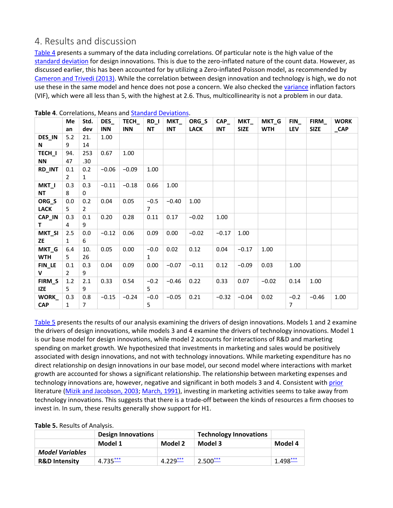# 4. Results and discussion

[Table 4](https://www.sciencedirect.com/science/article/pii/S004873331830129X?via%3Dihub#tbl0020) presents a summary of the data including correlations. Of particular note is the high value of the [standard deviation](https://www.sciencedirect.com/topics/economics-econometrics-and-finance/measure-of-dispersion) for design innovations. This is due to the zero-inflated nature of the count data. However, as discussed earlier, this has been accounted for by utilizing a Zero-inflated Poisson model, as recommended by [Cameron and Trivedi \(2013\).](https://www.sciencedirect.com/science/article/pii/S004873331830129X?via%3Dihub#bib0075) While the correlation between design innovation and technology is high, we do not use these in the same model and hence does not pose a concern. We also checked the [variance](https://www.sciencedirect.com/topics/economics-econometrics-and-finance/variance) inflation factors (VIF), which were all less than 5, with the highest at 2.6. Thus, multicollinearity is not a problem in our data.

|               | Me             | Std.           | DES        | TECH_      | $RD_$          | MKT        | ORG_S       | <b>CAP</b> | MKT         | MKT_G      | $FIN_$         | FIRM_       | <b>WORK</b> |
|---------------|----------------|----------------|------------|------------|----------------|------------|-------------|------------|-------------|------------|----------------|-------------|-------------|
|               | an             | dev            | <b>INN</b> | <b>INN</b> | NT             | <b>INT</b> | <b>LACK</b> | <b>INT</b> | <b>SIZE</b> | <b>WTH</b> | LEV            | <b>SIZE</b> | CAP         |
| DES_IN        | 5.2            | 21.            | 1.00       |            |                |            |             |            |             |            |                |             |             |
| N             | 9              | 14             |            |            |                |            |             |            |             |            |                |             |             |
| TECH_I        | 94.            | 253            | 0.67       | 1.00       |                |            |             |            |             |            |                |             |             |
| <b>NN</b>     | 47             | .30            |            |            |                |            |             |            |             |            |                |             |             |
| <b>RD_INT</b> | 0.1            | 0.2            | $-0.06$    | $-0.09$    | 1.00           |            |             |            |             |            |                |             |             |
|               | $\overline{2}$ | $\mathbf{1}$   |            |            |                |            |             |            |             |            |                |             |             |
| MKT_I         | 0.3            | 0.3            | $-0.11$    | $-0.18$    | 0.66           | 1.00       |             |            |             |            |                |             |             |
| NT            | 8              | 0              |            |            |                |            |             |            |             |            |                |             |             |
| ORG_S         | 0.0            | 0.2            | 0.04       | 0.05       | $-0.5$         | $-0.40$    | 1.00        |            |             |            |                |             |             |
| <b>LACK</b>   | 5.             | $\overline{2}$ |            |            | $\overline{7}$ |            |             |            |             |            |                |             |             |
| CAP_IN        | 0.3            | 0.1            | 0.20       | 0.28       | 0.11           | 0.17       | $-0.02$     | 1.00       |             |            |                |             |             |
| T.            | 4              | 9              |            |            |                |            |             |            |             |            |                |             |             |
| <b>MKT_SI</b> | 2.5            | 0.0            | $-0.12$    | 0.06       | 0.09           | 0.00       | $-0.02$     | $-0.17$    | 1.00        |            |                |             |             |
| <b>ZE</b>     | $\mathbf{1}$   | 6              |            |            |                |            |             |            |             |            |                |             |             |
| MKT_G         | 6.4            | 10.            | 0.05       | 0.00       | $-0.0$         | 0.02       | 0.12        | 0.04       | $-0.17$     | 1.00       |                |             |             |
| <b>WTH</b>    | 5              | 26             |            |            | $\mathbf{1}$   |            |             |            |             |            |                |             |             |
| FIN_LE        | 0.1            | 0.3            | 0.04       | 0.09       | 0.00           | $-0.07$    | $-0.11$     | 0.12       | $-0.09$     | 0.03       | 1.00           |             |             |
| V             | $\overline{2}$ | 9              |            |            |                |            |             |            |             |            |                |             |             |
| FIRM_S        | 1.2            | 2.1            | 0.33       | 0.54       | $-0.2$         | $-0.46$    | 0.22        | 0.33       | 0.07        | $-0.02$    | 0.14           | 1.00        |             |
| <b>IZE</b>    | 5              | 9              |            |            | 5              |            |             |            |             |            |                |             |             |
| WORK_         | 0.3            | 0.8            | $-0.15$    | $-0.24$    | $-0.0$         | $-0.05$    | 0.21        | $-0.32$    | $-0.04$     | 0.02       | $-0.2$         | $-0.46$     | 1.00        |
| <b>CAP</b>    | $\mathbf{1}$   | $\overline{7}$ |            |            | 5              |            |             |            |             |            | $\overline{7}$ |             |             |

**Table 4**. Correlations, Means and [Standard Deviations.](https://www.sciencedirect.com/topics/economics-econometrics-and-finance/measure-of-dispersion)

[Table 5](https://www.sciencedirect.com/science/article/pii/S004873331830129X?via%3Dihub#tbl0025) presents the results of our analysis examining the drivers of design innovations. Models 1 and 2 examine the drivers of design innovations, while models 3 and 4 examine the drivers of technology innovations. Model 1 is our base model for design innovations, while model 2 accounts for interactions of R&D and marketing spending on market growth. We hypothesized that investments in marketing and sales would be positively associated with design innovations, and not with technology innovations. While marketing expenditure has no direct relationship on design innovations in our base model, our second model where interactions with market growth are accounted for shows a significant relationship. The relationship between marketing expenses and technology innovations are, however, negative and significant in both models 3 and 4. Consistent with [prior](https://www.sciencedirect.com/topics/economics-econometrics-and-finance/bayesian-inference) literature [\(Mizik and Jacobson, 2003;](https://www.sciencedirect.com/science/article/pii/S004873331830129X?via%3Dihub#bib0245) [March, 1991\)](https://www.sciencedirect.com/science/article/pii/S004873331830129X?via%3Dihub#bib0235), investing in marketing activities seems to take away from technology innovations. This suggests that there is a trade-off between the kinds of resources a firm chooses to invest in. In sum, these results generally show support for H1.

#### **Table 5.** Results of Analysis.

|                          | <b>Design Innovations</b> |            | <b>Technology Innovations</b> |         |
|--------------------------|---------------------------|------------|-------------------------------|---------|
|                          | Model 1                   | Model 2    | Model 3                       | Model 4 |
| <b>Model Variables</b>   |                           |            |                               |         |
| <b>R&amp;D Intensity</b> | $4.735***$                | $4.229***$ | $2.500^{***}$                 | 1.498   |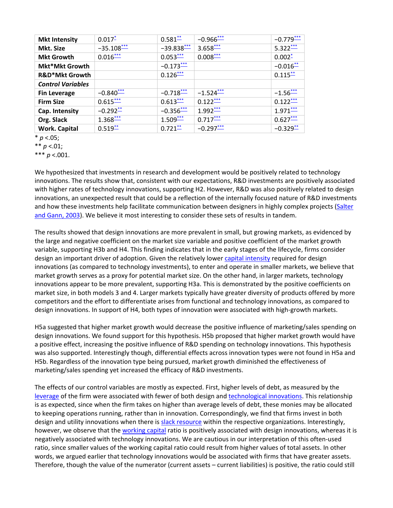| <b>Mkt Intensity</b>      | $0.017^*$     | $0.581^{**}$  | $-0.966$   | $-0.779***$   |
|---------------------------|---------------|---------------|------------|---------------|
| Mkt. Size                 | $-35.108$     | $-39.838$     | $3.658***$ | $5.322***$    |
| <b>Mkt Growth</b>         | $0.016^{***}$ | $0.053***$    | 0.008      | $0.002 -$     |
| <b>Mkt*Mkt Growth</b>     |               | $-0.173$      |            | $-0.016^{**}$ |
| <b>R&amp;D*Mkt Growth</b> |               | $0.126^{***}$ |            | $0.115^{**}$  |
| <b>Control Variables</b>  |               |               |            |               |
| <b>Fin Leverage</b>       | $-0.840$      | $-0.718$      | $-1.524$   | $-1.56$       |
| <b>Firm Size</b>          | $0.615***$    | $0.613***$    | $0.122***$ | $0.122***$    |
| Cap. Intensity            | $-0.292^{**}$ | $-0.356$      | $1.992***$ | $1.971***$    |
| Org. Slack                | 1.368         | $1.509***$    | $0.717***$ | $0.627***$    |
| <b>Work. Capital</b>      | $0.519^{**}$  | $0.721^{**}$  | $-0.297$   | $-0.329$      |

\* *p* <.05;

\*\* *p* <.01;

\*\*\* *p* <.001.

We hypothesized that investments in research and development would be positively related to technology innovations. The results show that, consistent with our expectations, R&D investments are positively associated with higher rates of technology innovations, supporting H2. However, R&D was also positively related to design innovations, an unexpected result that could be a reflection of the internally focused nature of R&D investments and how these investments help facilitate communication between designers in highly complex projects [\(Salter](https://www.sciencedirect.com/science/article/pii/S004873331830129X?via%3Dihub#bib0325)  [and Gann, 2003\)](https://www.sciencedirect.com/science/article/pii/S004873331830129X?via%3Dihub#bib0325). We believe it most interesting to consider these sets of results in tandem.

The results showed that design innovations are more prevalent in small, but growing markets, as evidenced by the large and negative coefficient on the market size variable and positive coefficient of the market growth variable, supporting H3b and H4. This finding indicates that in the early stages of the lifecycle, firms consider design an important driver of adoption. Given the relatively lower [capital intensity](https://www.sciencedirect.com/topics/economics-econometrics-and-finance/capital-intensity) required for design innovations (as compared to technology investments), to enter and operate in smaller markets, we believe that market growth serves as a proxy for potential market size. On the other hand, in larger markets, technology innovations appear to be more prevalent, supporting H3a. This is demonstrated by the positive coefficients on market size, in both models 3 and 4. Larger markets typically have greater diversity of products offered by more competitors and the effort to differentiate arises from functional and technology innovations, as compared to design innovations. In support of H4, both types of innovation were associated with high-growth markets.

H5a suggested that higher market growth would decrease the positive influence of marketing/sales spending on design innovations. We found support for this hypothesis. H5b proposed that higher market growth would have a positive effect, increasing the positive influence of R&D spending on technology innovations. This hypothesis was also supported. Interestingly though, differential effects across innovation types were not found in H5a and H5b. Regardless of the innovation type being pursued, market growth diminished the effectiveness of marketing/sales spending yet increased the efficacy of R&D investments.

The effects of our control variables are mostly as expected. First, higher levels of debt, as measured by the [leverage](https://www.sciencedirect.com/topics/economics-econometrics-and-finance/leverage) of the firm were associated with fewer of both design and [technological innovations.](https://www.sciencedirect.com/topics/economics-econometrics-and-finance/technological-innovation) This relationship is as expected, since when the firm takes on higher than average levels of debt, these monies may be allocated to keeping operations running, rather than in innovation. Correspondingly, we find that firms invest in both design and utility innovations when there is [slack resource](https://www.sciencedirect.com/topics/economics-econometrics-and-finance/capacity-utilization) within the respective organizations. Interestingly, however, we observe that th[e working capital](https://www.sciencedirect.com/topics/economics-econometrics-and-finance/working-capital) ratio is positively associated with design innovations, whereas it is negatively associated with technology innovations. We are cautious in our interpretation of this often-used ratio, since smaller values of the working capital ratio could result from higher values of total assets. In other words, we argued earlier that technology innovations would be associated with firms that have greater assets. Therefore, though the value of the numerator (current assets – current liabilities) is positive, the ratio could still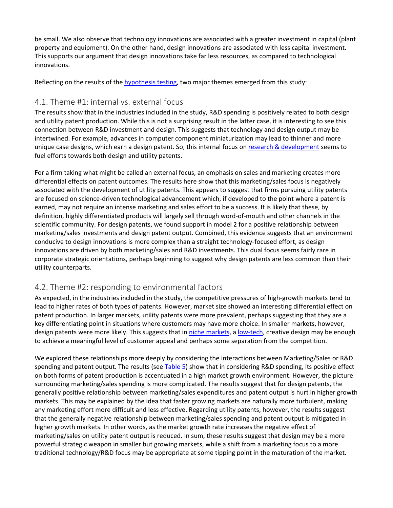be small. We also observe that technology innovations are associated with a greater investment in capital (plant property and equipment). On the other hand, design innovations are associated with less capital investment. This supports our argument that design innovations take far less resources, as compared to technological innovations.

Reflecting on the results of the [hypothesis testing,](https://www.sciencedirect.com/topics/economics-econometrics-and-finance/statistical-test) two major themes emerged from this study:

#### 4.1. Theme #1: internal vs. external focus

The results show that in the industries included in the study, R&D spending is positively related to both design and utility patent production. While this is not a surprising result in the latter case, it is interesting to see this connection between R&D investment and design. This suggests that technology and design output may be intertwined. For example, advances in computer component miniaturization may lead to thinner and more unique case designs, which earn a design patent. So, this internal focus on [research & development](https://www.sciencedirect.com/topics/economics-econometrics-and-finance/development-research) seems to fuel efforts towards both design and utility patents.

For a firm taking what might be called an external focus, an emphasis on sales and marketing creates more differential effects on patent outcomes. The results here show that this marketing/sales focus is negatively associated with the development of utility patents. This appears to suggest that firms pursuing utility patents are focused on science-driven technological advancement which, if developed to the point where a patent is earned, may not require an intense marketing and sales effort to be a success. It is likely that these, by definition, highly differentiated products will largely sell through word-of-mouth and other channels in the scientific community. For design patents, we found support in model 2 for a positive relationship between marketing/sales investments and design patent output. Combined, this evidence suggests that an environment conducive to design innovations is more complex than a straight technology-focused effort, as design innovations are driven by both marketing/sales and R&D investments. This dual focus seems fairly rare in corporate strategic orientations, perhaps beginning to suggest why design patents are less common than their utility counterparts.

#### 4.2. Theme #2: responding to environmental factors

As expected, in the industries included in the study, the competitive pressures of high-growth markets tend to lead to higher rates of both types of patents. However, market size showed an interesting differential effect on patent production. In larger markets, utility patents were more prevalent, perhaps suggesting that they are a key differentiating point in situations where customers may have more choice. In smaller markets, however, design patents were more likely. This suggests that i[n niche markets,](https://www.sciencedirect.com/topics/economics-econometrics-and-finance/niche-marketing-strategy) [a low-tech,](https://www.sciencedirect.com/topics/economics-econometrics-and-finance/low-tech) creative design may be enough to achieve a meaningful level of customer appeal and perhaps some separation from the competition.

We explored these relationships more deeply by considering the interactions between Marketing/Sales or R&D spending and patent output. The results (see [Table 5\)](https://www.sciencedirect.com/science/article/pii/S004873331830129X?via%3Dihub#tbl0025) show that in considering R&D spending, its positive effect on both forms of patent production is accentuated in a high market growth environment. However, the picture surrounding marketing/sales spending is more complicated. The results suggest that for design patents, the generally positive relationship between marketing/sales expenditures and patent output is hurt in higher growth markets. This may be explained by the idea that faster growing markets are naturally more turbulent, making any marketing effort more difficult and less effective. Regarding utility patents, however, the results suggest that the generally negative relationship between marketing/sales spending and patent output is mitigated in higher growth markets. In other words, as the market growth rate increases the negative effect of marketing/sales on utility patent output is reduced. In sum, these results suggest that design may be a more powerful strategic weapon in smaller but growing markets, while a shift from a marketing focus to a more traditional technology/R&D focus may be appropriate at some tipping point in the maturation of the market.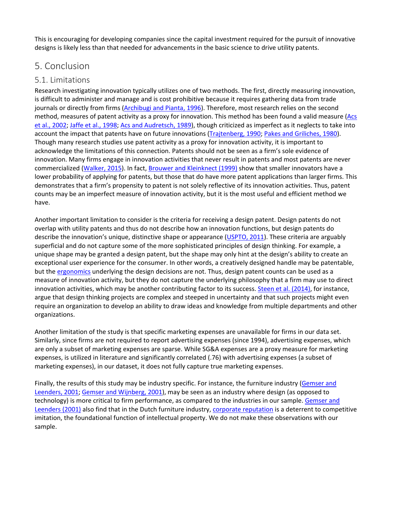This is encouraging for developing companies since the capital investment required for the pursuit of innovative designs is likely less than that needed for advancements in the basic science to drive utility patents.

# 5. Conclusion

#### 5.1. Limitations

Research investigating innovation typically utilizes one of two methods. The first, directly measuring innovation, is difficult to administer and manage and is cost prohibitive because it requires gathering data from trade journals or directly from firms [\(Archibugi and Pianta, 1996\)](https://www.sciencedirect.com/science/article/pii/S004873331830129X?via%3Dihub#bib0035). Therefore, most research relies on the second method, measures of patent activity as a proxy for innovation. This method has been found a valid measure  $(Acs)$ [et al., 2002;](https://www.sciencedirect.com/science/article/pii/S004873331830129X?via%3Dihub#bib0025) [Jaffe et al., 1998;](https://www.sciencedirect.com/science/article/pii/S004873331830129X?via%3Dihub#bib0190) [Acs and Audretsch, 1989\)](https://www.sciencedirect.com/science/article/pii/S004873331830129X?via%3Dihub#bib0020), though criticized as imperfect as it neglects to take into account the impact that patents have on future innovations [\(Trajtenberg, 1990;](https://www.sciencedirect.com/science/article/pii/S004873331830129X?via%3Dihub#bib0395) [Pakes and Griliches, 1980\)](https://www.sciencedirect.com/science/article/pii/S004873331830129X?via%3Dihub#bib0280). Though many research studies use patent activity as a proxy for innovation activity, it is important to acknowledge the limitations of this connection. Patents should not be seen as a firm's sole evidence of innovation. Many firms engage in innovation activities that never result in patents and most patents are never commercialized [\(Walker, 2015\)](https://www.sciencedirect.com/science/article/pii/S004873331830129X?via%3Dihub#bib0420). In fact, [Brouwer and Kleinknect \(1999\)](https://www.sciencedirect.com/science/article/pii/S004873331830129X?via%3Dihub#bib0065) show that smaller innovators have a lower probability of applying for patents, but those that do have more patent applications than larger firms. This demonstrates that a firm's propensity to patent is not solely reflective of its innovation activities. Thus, patent counts may be an imperfect measure of innovation activity, but it is the most useful and efficient method we have.

Another important limitation to consider is the criteria for receiving a design patent. Design patents do not overlap with utility patents and thus do not describe how an innovation functions, but design patents do describe the innovation's unique, distinctive shape or appearance [\(USPTO, 2011\)](https://www.sciencedirect.com/science/article/pii/S004873331830129X?via%3Dihub#bib0405). These criteria are arguably superficial and do not capture some of the more sophisticated principles of design thinking. For example, a unique shape may be granted a design patent, but the shape may only hint at the design's ability to create an exceptional user experience for the consumer. In other words, a creatively designed handle may be patentable, but the [ergonomics](https://www.sciencedirect.com/topics/economics-econometrics-and-finance/ergonomics) underlying the design decisions are not. Thus, design patent counts can be used as a measure of innovation activity, but they do not capture the underlying philosophy that a firm may use to direct innovation activities, which may be another contributing factor to its success. [Steen et al. \(2014\),](https://www.sciencedirect.com/science/article/pii/S004873331830129X?via%3Dihub#bib0370) for instance, argue that design thinking projects are complex and steeped in uncertainty and that such projects might even require an organization to develop an ability to draw ideas and knowledge from multiple departments and other organizations.

Another limitation of the study is that specific marketing expenses are unavailable for firms in our data set. Similarly, since firms are not required to report advertising expenses (since 1994), advertising expenses, which are only a subset of marketing expenses are sparse. While SG&A expenses are a proxy measure for marketing expenses, is utilized in literature and significantly correlated (.76) with advertising expenses (a subset of marketing expenses), in our dataset, it does not fully capture true marketing expenses.

Finally, the results of this study may be industry specific. For instance, the furniture industry (Gemser and [Leenders, 2001;](https://www.sciencedirect.com/science/article/pii/S004873331830129X?via%3Dihub#bib0170) [Gemser and Wijnberg, 2001\)](https://www.sciencedirect.com/science/article/pii/S004873331830129X?via%3Dihub#bib0175), may be seen as an industry where design (as opposed to technology) is more critical to firm performance, as compared to the industries in our sample. [Gemser and](https://www.sciencedirect.com/science/article/pii/S004873331830129X?via%3Dihub#bib0170)  [Leenders \(2001\)](https://www.sciencedirect.com/science/article/pii/S004873331830129X?via%3Dihub#bib0170) also find that in the Dutch furniture industry[, corporate reputation](https://www.sciencedirect.com/topics/economics-econometrics-and-finance/corporate-reputation) is a deterrent to competitive imitation, the foundational function of intellectual property. We do not make these observations with our sample.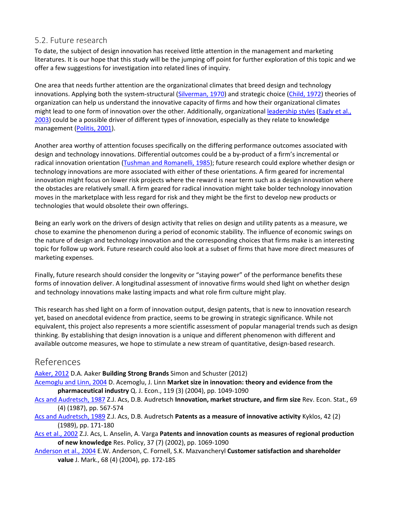#### 5.2. Future research

To date, the subject of design innovation has received little attention in the management and marketing literatures. It is our hope that this study will be the jumping off point for further exploration of this topic and we offer a few suggestions for investigation into related lines of inquiry.

One area that needs further attention are the organizational climates that breed design and technology innovations. Applying both the system-structural [\(Silverman,](https://www.sciencedirect.com/science/article/pii/S004873331830129X?via%3Dihub#bib0340) 1970) and strategic choice [\(Child, 1972\)](https://www.sciencedirect.com/science/article/pii/S004873331830129X?via%3Dihub#bib0085) theories of organization can help us understand the innovative capacity of firms and how their organizational climates might lead to one form of innovation over the other. Additionally, organizational [leadership styles](https://www.sciencedirect.com/topics/economics-econometrics-and-finance/leadership-style) [\(Eagly et al.,](https://www.sciencedirect.com/science/article/pii/S004873331830129X?via%3Dihub#bib0140)  [2003\)](https://www.sciencedirect.com/science/article/pii/S004873331830129X?via%3Dihub#bib0140) could be a possible driver of different types of innovation, especially as they relate to knowledge management [\(Politis, 2001\)](https://www.sciencedirect.com/science/article/pii/S004873331830129X?via%3Dihub#bib0290).

Another area worthy of attention focuses specifically on the differing performance outcomes associated with design and technology innovations. Differential outcomes could be a by-product of a firm's incremental or radical innovation orientation [\(Tushman and Romanelli, 1985\)](https://www.sciencedirect.com/science/article/pii/S004873331830129X?via%3Dihub#bib0400); future research could explore whether design or technology innovations are more associated with either of these orientations. A firm geared for incremental innovation might focus on lower risk projects where the reward is near term such as a design innovation where the obstacles are relatively small. A firm geared for radical innovation might take bolder technology innovation moves in the marketplace with less regard for risk and they might be the first to develop new products or technologies that would obsolete their own offerings.

Being an early work on the drivers of design activity that relies on design and utility patents as a measure, we chose to examine the phenomenon during a period of economic stability. The influence of economic swings on the nature of design and technology innovation and the corresponding choices that firms make is an interesting topic for follow up work. Future research could also look at a subset of firms that have more direct measures of marketing expenses.

Finally, future research should consider the longevity or "staying power" of the performance benefits these forms of innovation deliver. A longitudinal assessment of innovative firms would shed light on whether design and technology innovations make lasting impacts and what role firm culture might play.

This research has shed light on a form of innovation output, design patents, that is new to innovation research yet, based on anecdotal evidence from practice, seems to be growing in strategic significance. While not equivalent, this project also represents a more scientific assessment of popular managerial trends such as design thinking. By establishing that design innovation is a unique and different phenomenon with different and available outcome measures, we hope to stimulate a new stream of quantitative, design-based research.

## References

[Aaker, 2012](https://www.sciencedirect.com/science/article/pii/S004873331830129X?via%3Dihub#bbib0005) D.A. Aaker **Building Strong Brands** Simon and Schuster (2012)

- [Acemoglu and Linn, 2004](https://www.sciencedirect.com/science/article/pii/S004873331830129X?via%3Dihub#bbib0010) D. Acemoglu, J. Linn **Market size in innovation: theory and evidence from the pharmaceutical industry** Q. J. Econ., 119 (3) (2004), pp. 1049-1090
- [Acs and Audretsch, 1987](https://www.sciencedirect.com/science/article/pii/S004873331830129X?via%3Dihub#bbib0015) Z.J. Acs, D.B. Audretsch **Innovation, market structure, and firm size** Rev. Econ. Stat., 69 (4) (1987), pp. 567-574
- [Acs and Audretsch, 1989](https://www.sciencedirect.com/science/article/pii/S004873331830129X?via%3Dihub#bbib0020) Z.J. Acs, D.B. Audretsch **Patents as a measure of innovative activity** Kyklos, 42 (2) (1989), pp. 171-180
- [Acs et al., 2002](https://www.sciencedirect.com/science/article/pii/S004873331830129X?via%3Dihub#bbib0025) Z.J. Acs, L. Anselin, A. Varga **Patents and innovation counts as measures of regional production of new knowledge** Res. Policy, 37 (7) (2002), pp. 1069-1090
- [Anderson et al., 2004](https://www.sciencedirect.com/science/article/pii/S004873331830129X?via%3Dihub#bbib0030) E.W. Anderson, C. Fornell, S.K. Mazvancheryl **Customer satisfaction and shareholder value** J. Mark., 68 (4) (2004), pp. 172-185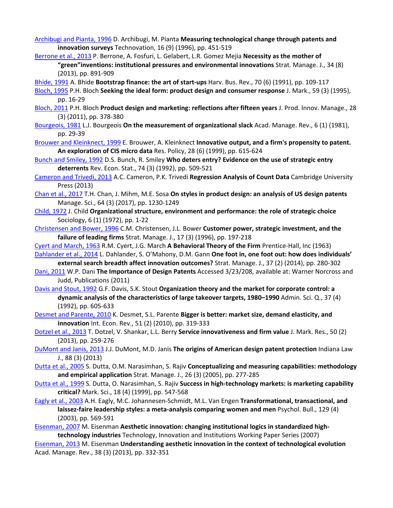[Archibugi and Pianta, 1996](https://www.sciencedirect.com/science/article/pii/S004873331830129X?via%3Dihub#bbib0035) D. Archibugi, M. Pianta **Measuring technological change through patents and innovation surveys** Technovation, 16 (9) (1996), pp. 451-519

- [Berrone et al., 2013](https://www.sciencedirect.com/science/article/pii/S004873331830129X?via%3Dihub#bbib0040) P. Berrone, A. Fosfuri, L. Gelabert, L.R. Gomez Mejia **Necessity as the mother of "green"inventions: institutional pressures and environmental innovations** Strat. Manage. J., 34 (8) (2013), pp. 891-909
- [Bhide, 1991](https://www.sciencedirect.com/science/article/pii/S004873331830129X?via%3Dihub#bbib0045) A. Bhide **Bootstrap finance: the art of start-ups** Harv. Bus. Rev., 70 (6) (1991), pp. 109-117
- [Bloch, 1995](https://www.sciencedirect.com/science/article/pii/S004873331830129X?via%3Dihub#bbib0050) P.H. Bloch **Seeking the ideal form: product design and consumer response** J. Mark., 59 (3) (1995), pp. 16-29
- [Bloch, 2011](https://www.sciencedirect.com/science/article/pii/S004873331830129X?via%3Dihub#bbib0055) P.H. Bloch **Product design and marketing: reflections after fifteen years** J. Prod. Innov. Manage., 28 (3) (2011), pp. 378-380
- [Bourgeois, 1981](https://www.sciencedirect.com/science/article/pii/S004873331830129X?via%3Dihub#bbib0060) L.J. Bourgeois **On the measurement of organizational slack** Acad. Manage. Rev., 6 (1) (1981), pp. 29-39
- [Brouwer and Kleinknect, 1999](https://www.sciencedirect.com/science/article/pii/S004873331830129X?via%3Dihub#bbib0065) E. Brouwer, A. Kleinknect **Innovative output, and a firm's propensity to patent. An exploration of CIS micro data** Res. Policy, 28 (6) (1999), pp. 615-624
- [Bunch and Smiley, 1992](https://www.sciencedirect.com/science/article/pii/S004873331830129X?via%3Dihub#bbib0070) D.S. Bunch, R. Smiley **Who deters entry? Evidence on the use of strategic entry deterrents** Rev. Econ. Stat., 74 (3) (1992), pp. 509-521
- [Cameron and Trivedi, 2013](https://www.sciencedirect.com/science/article/pii/S004873331830129X?via%3Dihub#bbib0075) A.C. Cameron, P.K. Trivedi **Regression Analysis of Count Data** Cambridge University Press (2013)
- [Chan et al., 2017](https://www.sciencedirect.com/science/article/pii/S004873331830129X?via%3Dihub#bbib0080) T.H. Chan, J. Mihm, M.E. Sosa **On styles in product design: an analysis of US design patents** Manage. Sci., 64 (3) (2017), pp. 1230-1249
- [Child, 1972](https://www.sciencedirect.com/science/article/pii/S004873331830129X?via%3Dihub#bbib0085) J. Child **Organizational structure, environment and performance: the role of strategic choice** Sociology, 6 (1) (1972), pp. 1-22
- [Christensen and Bower, 1996](https://www.sciencedirect.com/science/article/pii/S004873331830129X?via%3Dihub#bbib0090) C.M. Christensen, J.L. Bower **Customer power, strategic investment, and the failure of leading firms** Strat. Manage. J., 17 (3) (1996), pp. 197-218
- [Cyert and March, 1963](https://www.sciencedirect.com/science/article/pii/S004873331830129X?via%3Dihub#bbib0095) R.M. Cyert, J.G. March **A Behavioral Theory of the Firm** Prentice-Hall, Inc (1963) [Dahlander et al., 2014](https://www.sciencedirect.com/science/article/pii/S004873331830129X?via%3Dihub#bbib0100) L. Dahlander, S. O'Mahony, D.M. Gann **One foot in, one foot out: how does individuals'** 
	- **external search breadth affect innovation outcomes?** Strat. Manage. J., 37 (2) (2014), pp. 280-302
- [Dani, 2011](https://www.sciencedirect.com/science/article/pii/S004873331830129X?via%3Dihub#bbib0105) W.P. Dani **The Importance of Design Patents** Accessed 3/23/208, available at: Warner Norcross and Judd, Publications (2011)
- [Davis and Stout, 1992](https://www.sciencedirect.com/science/article/pii/S004873331830129X?via%3Dihub#bbib0110) G.F. Davis, S.K. Stout **Organization theory and the market for corporate control: a dynamic analysis of the characteristics of large takeover targets, 1980–1990** Admin. Sci. Q., 37 (4) (1992), pp. 605-633
- [Desmet and Parente, 2010](https://www.sciencedirect.com/science/article/pii/S004873331830129X?via%3Dihub#bbib0115) K. Desmet, S.L. Parente **Bigger is better: market size, demand elasticity, and innovation** Int. Econ. Rev., 51 (2) (2010), pp. 319-333
- [Dotzel et al., 2013](https://www.sciencedirect.com/science/article/pii/S004873331830129X?via%3Dihub#bbib0120) T. Dotzel, V. Shankar, L.L. Berry **Service innovativeness and firm value** J. Mark. Res., 50 (2) (2013), pp. 259-276
- [DuMont and Janis, 2013](https://www.sciencedirect.com/science/article/pii/S004873331830129X?via%3Dihub#bbib0125) J.J. DuMont, M.D. Janis **The origins of American design patent protection** Indiana Law J., 88 (3) (2013)
- [Dutta et al., 2005](https://www.sciencedirect.com/science/article/pii/S004873331830129X?via%3Dihub#bbib0130) S. Dutta, O.M. Narasimhan, S. Rajiv **Conceptualizing and measuring capabilities: methodology and empirical application** Strat. Manage. J., 26 (3) (2005), pp. 277-285
- [Dutta et al., 1999](https://www.sciencedirect.com/science/article/pii/S004873331830129X?via%3Dihub#bbib0135) S. Dutta, O. Narasimhan, S. Rajiv **Success in high-technology markets: is marketing capability critical?** Mark. Sci., 18 (4) (1999), pp. 547-568
- [Eagly et al., 2003](https://www.sciencedirect.com/science/article/pii/S004873331830129X?via%3Dihub#bbib0140) A.H. Eagly, M.C. Johannesen-Schmidt, M.L. Van Engen **Transformational, transactional, and laissez-faire leadership styles: a meta-analysis comparing women and men** Psychol. Bull., 129 (4) (2003), pp. 569-591

[Eisenman, 2007](https://www.sciencedirect.com/science/article/pii/S004873331830129X?via%3Dihub#bbib0145) M. Eisenman **Aesthetic innovation: changing institutional logics in standardized hightechnology industries** Technology, Innovation and Institutions Working Paper Series (2007)

[Eisenman, 2013](https://www.sciencedirect.com/science/article/pii/S004873331830129X?via%3Dihub#bbib0150) M. Eisenman **Understanding aesthetic innovation in the context of technological evolution** Acad. Manage. Rev., 38 (3) (2013), pp. 332-351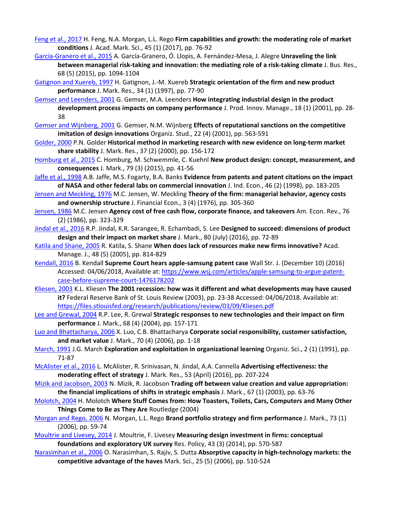- [Feng et al., 2017](https://www.sciencedirect.com/science/article/pii/S004873331830129X?via%3Dihub#bbib0155) H. Feng, N.A. Morgan, L.L. Rego **Firm capabilities and growth: the moderating role of market conditions** J. Acad. Mark. Sci., 45 (1) (2017), pp. 76-92
- [García-Granero et al., 2015](https://www.sciencedirect.com/science/article/pii/S004873331830129X?via%3Dihub#bbib0160) A. García-Granero, Ó. Llopis, A. Fernández-Mesa, J. Alegre **Unraveling the link between managerial risk-taking and innovation: the mediating role of a risk-taking climate** J. Bus. Res., 68 (5) (2015), pp. 1094-1104
- [Gatignon and Xuereb, 1997](https://www.sciencedirect.com/science/article/pii/S004873331830129X?via%3Dihub#bbib0165) H. Gatignon, J.-M. Xuereb **Strategic orientation of the firm and new product performance** J. Mark. Res., 34 (1) (1997), pp. 77-90
- [Gemser and Leenders, 2001](https://www.sciencedirect.com/science/article/pii/S004873331830129X?via%3Dihub#bbib0170) G. Gemser, M.A. Leenders **How integrating industrial design in the product development process impacts on company performance** J. Prod. Innov. Manage., 18 (1) (2001), pp. 28- 38
- [Gemser and Wijnberg, 2001](https://www.sciencedirect.com/science/article/pii/S004873331830129X?via%3Dihub#bbib0175) G. Gemser, N.M. Wijnberg **Effects of reputational sanctions on the competitive imitation of design innovations** Organiz. Stud., 22 (4) (2001), pp. 563-591
- [Golder, 2000](https://www.sciencedirect.com/science/article/pii/S004873331830129X?via%3Dihub#bbib0180) P.N. Golder **Historical method in marketing research with new evidence on long-term market share stability** J. Mark. Res., 37 (2) (2000), pp. 156-172
- [Homburg et al., 2015](https://www.sciencedirect.com/science/article/pii/S004873331830129X?via%3Dihub#bbib0185) C. Homburg, M. Schwemmle, C. Kuehnl **New product design: concept, measurement, and consequences** J. Mark., 79 (3) (2015), pp. 41-56
- [Jaffe et al., 1998](https://www.sciencedirect.com/science/article/pii/S004873331830129X?via%3Dihub#bbib0190) A.B. Jaffe, M.S. Fogarty, B.A. Banks **Evidence from patents and patent citations on the impact of NASA and other federal labs on commercial innovation** J. Ind. Econ., 46 (2) (1998), pp. 183-205
- [Jensen and Meckling, 1976](https://www.sciencedirect.com/science/article/pii/S004873331830129X?via%3Dihub#bbib0195) M.C. Jensen, W. Meckling **Theory of the firm: managerial behavior, agency costs and ownership structure** J. Financial Econ., 3 (4) (1976), pp. 305-360
- [Jensen, 1986](https://www.sciencedirect.com/science/article/pii/S004873331830129X?via%3Dihub#bbib0200) M.C. Jensen **Agency cost of free cash flow, corporate finance, and takeovers** Am. Econ. Rev., 76 (2) (1986), pp. 323-329
- [Jindal et al., 2016](https://www.sciencedirect.com/science/article/pii/S004873331830129X?via%3Dihub#bbib0205) R.P. Jindal, K.R. Sarangee, R. Echambadi, S. Lee **Designed to succeed: dimensions of product design and their impact on market share** J. Mark., 80 (July) (2016), pp. 72-89
- [Katila and Shane, 2005](https://www.sciencedirect.com/science/article/pii/S004873331830129X?via%3Dihub#bbib0210) R. Katila, S. Shane **When does lack of resources make new firms innovative?** Acad. Manage. J., 48 (5) (2005), pp. 814-829
- [Kendall, 2016](https://www.sciencedirect.com/science/article/pii/S004873331830129X?via%3Dihub#bbib0215) B. Kendall **Supreme Court hears apple-samsung patent case** Wall Str. J. (December 10) (2016) Accessed: 04/06/2018, Available at: [https://www.wsj.com/articles/apple-samsung-to-argue-patent](https://www.wsj.com/articles/apple-samsung-to-argue-patent-case-before-supreme-court-1476178202)[case-before-supreme-court-1476178202](https://www.wsj.com/articles/apple-samsung-to-argue-patent-case-before-supreme-court-1476178202)
- [Kliesen, 2003](https://www.sciencedirect.com/science/article/pii/S004873331830129X?via%3Dihub#bbib0220) K.L. Kliesen **The 2001 recession: how was it different and what developments may have caused it?** Federal Reserve Bank of St. Louis Review (2003), pp. 23-38 Accessed: 04/06/2018. Available at: <https://files.stlouisfed.org/research/publications/review/03/09/Kliesen.pdf>
- [Lee and Grewal, 2004](https://www.sciencedirect.com/science/article/pii/S004873331830129X?via%3Dihub#bbib0225) R.P. Lee, R. Grewal **Strategic responses to new technologies and their impact on firm performance** J. Mark., 68 (4) (2004), pp. 157-171
- [Luo and Bhattacharya, 2006](https://www.sciencedirect.com/science/article/pii/S004873331830129X?via%3Dihub#bbib0230) X. Luo, C.B. Bhattacharya **Corporate social responsibility, customer satisfaction, and market value** J. Mark., 70 (4) (2006), pp. 1-18
- [March, 1991](https://www.sciencedirect.com/science/article/pii/S004873331830129X?via%3Dihub#bbib0235) J.G. March **Exploration and exploitation in organizational learning** Organiz. Sci., 2 (1) (1991), pp. 71-87
- [McAlister et al., 2016](https://www.sciencedirect.com/science/article/pii/S004873331830129X?via%3Dihub#bbib0240) L. McAlister, R. Srinivasan, N. Jindal, A.A. Cannella **Advertising effectiveness: the moderating effect of strategy** J. Mark. Res., 53 (April) (2016), pp. 207-224
- [Mizik and Jacobson, 2003](https://www.sciencedirect.com/science/article/pii/S004873331830129X?via%3Dihub#bbib0245) N. Mizik, R. Jacobson **Trading off between value creation and value appropriation: the financial implications of shifts in strategic emphasis** J. Mark., 67 (1) (2003), pp. 63-76
- [Molotch, 2004](https://www.sciencedirect.com/science/article/pii/S004873331830129X?via%3Dihub#bbib0250) H. Molotch **Where Stuff Comes from: How Toasters, Toilets, Cars, Computers and Many Other Things Come to Be as They Are** Routledge (2004)
- [Morgan and Rego, 2006](https://www.sciencedirect.com/science/article/pii/S004873331830129X?via%3Dihub#bbib0255) N. Morgan, L.L. Rego **Brand portfolio strategy and firm performance** J. Mark., 73 (1) (2006), pp. 59-74
- [Moultrie and Livesey, 2014](https://www.sciencedirect.com/science/article/pii/S004873331830129X?via%3Dihub#bbib0260) J. Moultrie, F. Livesey **Measuring design investment in firms: conceptual foundations and exploratory UK survey** Res. Policy, 43 (3) (2014), pp. 570-587
- [Narasimhan et al., 2006](https://www.sciencedirect.com/science/article/pii/S004873331830129X?via%3Dihub#bbib0265) O. Narasimhan, S. Rajiv, S. Dutta **Absorptive capacity in high-technology markets: the competitive advantage of the haves** Mark. Sci., 25 (5) (2006), pp. 510-524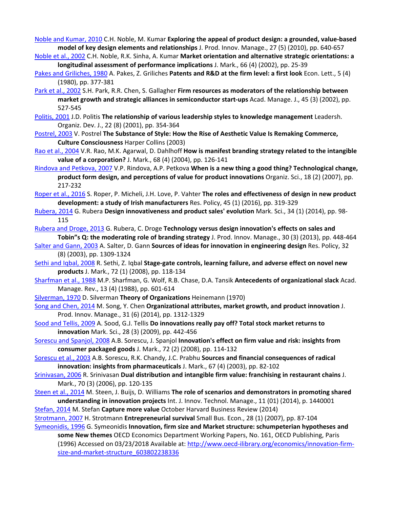[Noble and Kumar, 2010](https://www.sciencedirect.com/science/article/pii/S004873331830129X?via%3Dihub#bbib0270) C.H. Noble, M. Kumar **Exploring the appeal of product design: a grounded, value-based model of key design elements and relationships** J. Prod. Innov. Manage., 27 (5) (2010), pp. 640-657

[Noble et al., 2002](https://www.sciencedirect.com/science/article/pii/S004873331830129X?via%3Dihub#bbib0275) C.H. Noble, R.K. Sinha, A. Kumar **Market orientation and alternative strategic orientations: a longitudinal assessment of performance implications** J. Mark., 66 (4) (2002), pp. 25-39

[Pakes and Griliches, 1980](https://www.sciencedirect.com/science/article/pii/S004873331830129X?via%3Dihub#bbib0280) A. Pakes, Z. Griliches **Patents and R&D at the firm level: a first look** Econ. Lett., 5 (4) (1980), pp. 377-381

[Park et al., 2002](https://www.sciencedirect.com/science/article/pii/S004873331830129X?via%3Dihub#bbib0285) S.H. Park, R.R. Chen, S. Gallagher **Firm resources as moderators of the relationship between market growth and strategic alliances in semiconductor start-ups** Acad. Manage. J., 45 (3) (2002), pp. 527-545

[Politis, 2001](https://www.sciencedirect.com/science/article/pii/S004873331830129X?via%3Dihub#bbib0290) J.D. Politis **The relationship of various leadership styles to knowledge management** Leadersh. Organiz. Dev. J., 22 (8) (2001), pp. 354-364

[Postrel, 2003](https://www.sciencedirect.com/science/article/pii/S004873331830129X?via%3Dihub#bbib0295) V. Postrel **The Substance of Style: How the Rise of Aesthetic Value Is Remaking Commerce, Culture Consciousness** Harper Collins (2003)

[Rao et al., 2004](https://www.sciencedirect.com/science/article/pii/S004873331830129X?via%3Dihub#bbib0300) V.R. Rao, M.K. Agarwal, D. Dahlhoff **How is manifest branding strategy related to the intangible value of a corporation?** J. Mark., 68 (4) (2004), pp. 126-141

[Rindova and Petkova, 2007](https://www.sciencedirect.com/science/article/pii/S004873331830129X?via%3Dihub#bbib0305) V.P. Rindova, A.P. Petkova **When is a new thing a good thing? Technological change, product form design, and perceptions of value for product innovations** Organiz. Sci., 18 (2) (2007), pp. 217-232

[Roper et al., 2016](https://www.sciencedirect.com/science/article/pii/S004873331830129X?via%3Dihub#bbib0310) S. Roper, P. Micheli, J.H. Love, P. Vahter **The roles and effectiveness of design in new product development: a study of Irish manufacturers** Res. Policy, 45 (1) (2016), pp. 319-329

[Rubera, 2014](https://www.sciencedirect.com/science/article/pii/S004873331830129X?via%3Dihub#bbib0315) G. Rubera **Design innovativeness and product sales' evolution** Mark. Sci., 34 (1) (2014), pp. 98- 115

[Rubera and Droge, 2013](https://www.sciencedirect.com/science/article/pii/S004873331830129X?via%3Dihub#bbib0320) G. Rubera, C. Droge **Technology versus design innovation's effects on sales and Tobin"s Q: the moderating role of branding strategy** J. Prod. Innov. Manage., 30 (3) (2013), pp. 448-464

[Salter and Gann, 2003](https://www.sciencedirect.com/science/article/pii/S004873331830129X?via%3Dihub#bbib0325) A. Salter, D. Gann **Sources of ideas for innovation in engineering design** Res. Policy, 32 (8) (2003), pp. 1309-1324

[Sethi and Iqbal, 2008](https://www.sciencedirect.com/science/article/pii/S004873331830129X?via%3Dihub#bbib0330) R. Sethi, Z. Iqbal **Stage-gate controls, learning failure, and adverse effect on novel new products** J. Mark., 72 (1) (2008), pp. 118-134

[Sharfman et al., 1988](https://www.sciencedirect.com/science/article/pii/S004873331830129X?via%3Dihub#bbib0335) M.P. Sharfman, G. Wolf, R.B. Chase, D.A. Tansik **Antecedents of organizational slack** Acad. Manage. Rev., 13 (4) (1988), pp. 601-614

[Silverman, 1970](https://www.sciencedirect.com/science/article/pii/S004873331830129X?via%3Dihub#bbib0340) D. Silverman **Theory of Organizations** Heinemann (1970)

[Song and Chen, 2014](https://www.sciencedirect.com/science/article/pii/S004873331830129X?via%3Dihub#bbib0345) M. Song, Y. Chen **Organizational attributes, market growth, and product innovation** J. Prod. Innov. Manage., 31 (6) (2014), pp. 1312-1329

[Sood and Tellis, 2009](https://www.sciencedirect.com/science/article/pii/S004873331830129X?via%3Dihub#bbib0350) A. Sood, G.J. Tellis **Do innovations really pay off? Total stock market returns to innovation** Mark. Sci., 28 (3) (2009), pp. 442-456

[Sorescu and Spanjol, 2008](https://www.sciencedirect.com/science/article/pii/S004873331830129X?via%3Dihub#bbib0355) A.B. Sorescu, J. Spanjol **Innovation's effect on firm value and risk: insights from consumer packaged goods** J. Mark., 72 (2) (2008), pp. 114-132

[Sorescu et al., 2003](https://www.sciencedirect.com/science/article/pii/S004873331830129X?via%3Dihub#bbib0360) A.B. Sorescu, R.K. Chandy, J.C. Prabhu **Sources and financial consequences of radical innovation: insights from pharmaceuticals** J. Mark., 67 (4) (2003), pp. 82-102

[Srinivasan, 2006](https://www.sciencedirect.com/science/article/pii/S004873331830129X?via%3Dihub#bbib0365) R. Srinivasan **Dual distribution and intangible firm value: franchising in restaurant chains** J. Mark., 70 (3) (2006), pp. 120-135

[Steen et al., 2014](https://www.sciencedirect.com/science/article/pii/S004873331830129X?via%3Dihub#bbib0370) M. Steen, J. Buijs, D. Williams **The role of scenarios and demonstrators in promoting shared understanding in innovation projects** Int. J. Innov. Technol. Manage., 11 (01) (2014), p. 1440001

[Stefan, 2014](https://www.sciencedirect.com/science/article/pii/S004873331830129X?via%3Dihub#bbib0375) M. Stefan **Capture more value** October Harvard Business Review (2014)

[Strotmann, 2007](https://www.sciencedirect.com/science/article/pii/S004873331830129X?via%3Dihub#bbib0380) H. Strotmann **Entrepreneurial survival** Small Bus. Econ., 28 (1) (2007), pp. 87-104 [Symeonidis, 1996](https://www.sciencedirect.com/science/article/pii/S004873331830129X?via%3Dihub#bbib0385) G. Symeonidis **Innovation, firm size and Market structure: schumpeterian hypotheses and** 

**some New themes** OECD Economics Department Working Papers, No. 161, OECD Publishing, Paris (1996) Accessed on 03/23/2018 Available at: [http://www.oecd-ilibrary.org/economics/innovation-firm](http://www.oecd-ilibrary.org/economics/innovation-firm-size-and-market-structure_603802238336)[size-and-market-structure\\_603802238336](http://www.oecd-ilibrary.org/economics/innovation-firm-size-and-market-structure_603802238336)